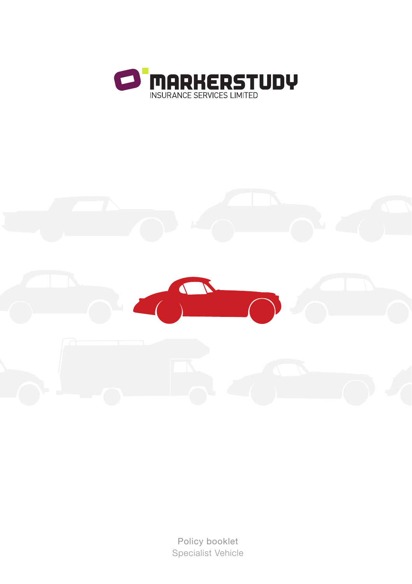



Policy booklet Specialist Vehicle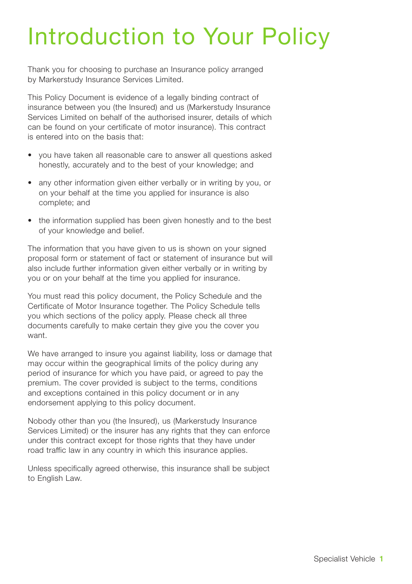# Introduction to Your Policy

Thank you for choosing to purchase an Insurance policy arranged by Markerstudy Insurance Services Limited.

This Policy Document is evidence of a legally binding contract of insurance between you (the Insured) and us (Markerstudy Insurance Services Limited on behalf of the authorised insurer, details of which can be found on your certificate of motor insurance). This contract is entered into on the basis that:

- you have taken all reasonable care to answer all questions asked honestly, accurately and to the best of your knowledge; and
- any other information given either verbally or in writing by you, or on your behalf at the time you applied for insurance is also complete; and
- the information supplied has been given honestly and to the best of your knowledge and belief.

The information that you have given to us is shown on your signed proposal form or statement of fact or statement of insurance but will also include further information given either verbally or in writing by you or on your behalf at the time you applied for insurance.

You must read this policy document, the Policy Schedule and the Certificate of Motor Insurance together. The Policy Schedule tells you which sections of the policy apply. Please check all three documents carefully to make certain they give you the cover you want.

We have arranged to insure you against liability, loss or damage that may occur within the geographical limits of the policy during any period of insurance for which you have paid, or agreed to pay the premium. The cover provided is subject to the terms, conditions and exceptions contained in this policy document or in any endorsement applying to this policy document.

Nobody other than you (the Insured), us (Markerstudy Insurance Services Limited) or the insurer has any rights that they can enforce under this contract except for those rights that they have under road traffic law in any country in which this insurance applies.

Unless specifically agreed otherwise, this insurance shall be subject to English Law.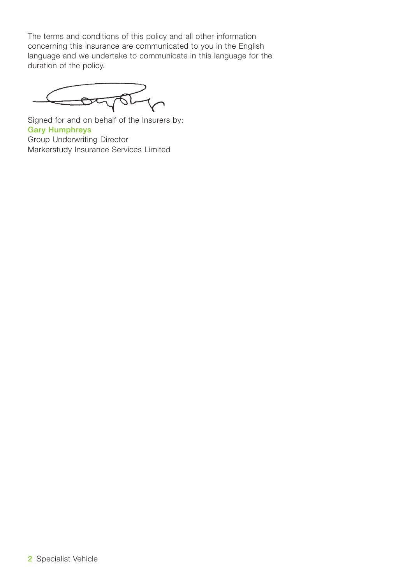The terms and conditions of this policy and all other information concerning this insurance are communicated to you in the English language and we undertake to communicate in this language for the duration of the policy.

DATOT

Signed for and on behalf of the Insurers by: **Gary Humphreys** Group Underwriting Director Markerstudy Insurance Services Limited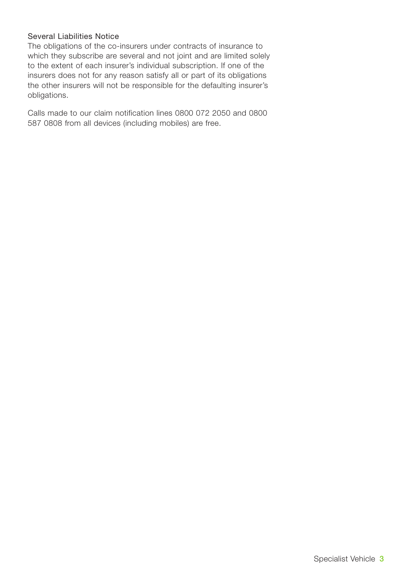### Several Liabilities Notice

The obligations of the co-insurers under contracts of insurance to which they subscribe are several and not joint and are limited solely to the extent of each insurer's individual subscription. If one of the insurers does not for any reason satisfy all or part of its obligations the other insurers will not be responsible for the defaulting insurer's obligations.

Calls made to our claim notification lines 0800 072 2050 and 0800 587 0808 from all devices (including mobiles) are free.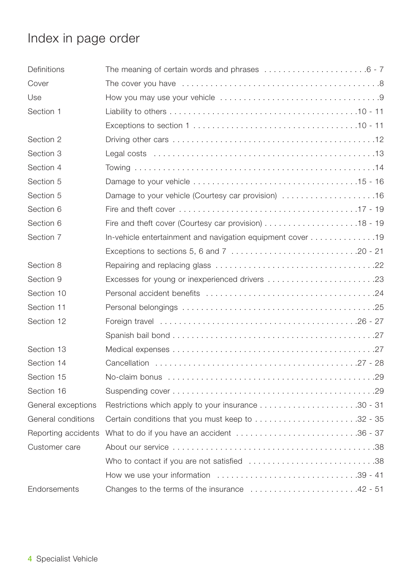# Index in page order

| Definitions         |                                                                                            |
|---------------------|--------------------------------------------------------------------------------------------|
| Cover               |                                                                                            |
| Use                 |                                                                                            |
| Section 1           |                                                                                            |
|                     |                                                                                            |
| Section 2           |                                                                                            |
| Section 3           |                                                                                            |
| Section 4           |                                                                                            |
| Section 5           |                                                                                            |
| Section 5           |                                                                                            |
| Section 6           |                                                                                            |
| Section 6           |                                                                                            |
| Section 7           | In-vehicle entertainment and navigation equipment cover 19                                 |
|                     |                                                                                            |
| Section 8           |                                                                                            |
| Section 9           | Excesses for young or inexperienced drivers 23                                             |
| Section 10          |                                                                                            |
| Section 11          |                                                                                            |
| Section 12          |                                                                                            |
|                     |                                                                                            |
| Section 13          |                                                                                            |
| Section 14          |                                                                                            |
| Section 15          |                                                                                            |
| Section 16          |                                                                                            |
| General exceptions  |                                                                                            |
| General conditions  | Certain conditions that you must keep to 32 - 35                                           |
| Reporting accidents | What to do if you have an accident 36 - 37                                                 |
| Customer care       |                                                                                            |
|                     | Who to contact if you are not satisfied 38                                                 |
|                     | How we use your information $\dots\dots\dots\dots\dots\dots\dots\dots\dots\dots$ . 39 - 41 |
| Endorsements        | Changes to the terms of the insurance 42 - 51                                              |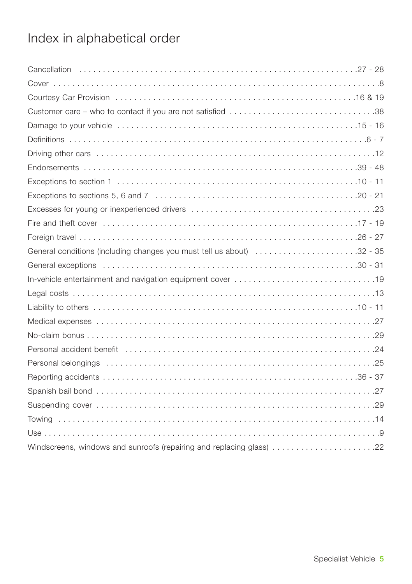# Index in alphabetical order

| Customer care - who to contact if you are not satisfied 38           |
|----------------------------------------------------------------------|
|                                                                      |
|                                                                      |
|                                                                      |
|                                                                      |
|                                                                      |
|                                                                      |
|                                                                      |
|                                                                      |
|                                                                      |
|                                                                      |
|                                                                      |
|                                                                      |
|                                                                      |
|                                                                      |
|                                                                      |
|                                                                      |
|                                                                      |
|                                                                      |
|                                                                      |
|                                                                      |
|                                                                      |
|                                                                      |
|                                                                      |
| Windscreens, windows and sunroofs (repairing and replacing glass) 22 |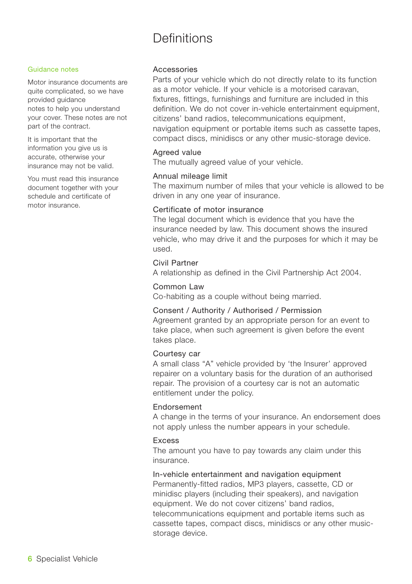## Definitions

#### Guidance notes

Motor insurance documents are quite complicated, so we have provided guidance notes to help you understand your cover. These notes are not part of the contract.

It is important that the information you give us is accurate, otherwise your insurance may not be valid.

You must read this insurance document together with your schedule and certificate of motor insurance.

#### Accessories

Parts of your vehicle which do not directly relate to its function as a motor vehicle. If your vehicle is a motorised caravan, fixtures, fittings, furnishings and furniture are included in this definition. We do not cover in-vehicle entertainment equipment, citizens' band radios, telecommunications equipment, navigation equipment or portable items such as cassette tapes, compact discs, minidiscs or any other music-storage device.

#### Agreed value

The mutually agreed value of your vehicle.

#### Annual mileage limit

The maximum number of miles that your vehicle is allowed to be driven in any one year of insurance.

#### Certificate of motor insurance

The legal document which is evidence that you have the insurance needed by law. This document shows the insured vehicle, who may drive it and the purposes for which it may be used.

#### Civil Partner

A relationship as defined in the Civil Partnership Act 2004.

#### Common Law

Co-habiting as a couple without being married.

#### Consent / Authority / Authorised / Permission

Agreement granted by an appropriate person for an event to take place, when such agreement is given before the event takes place.

#### Courtesy car

A small class "A" vehicle provided by 'the Insurer' approved repairer on a voluntary basis for the duration of an authorised repair. The provision of a courtesy car is not an automatic entitlement under the policy.

#### Endorsement

A change in the terms of your insurance. An endorsement does not apply unless the number appears in your schedule.

### Excess

The amount you have to pay towards any claim under this insurance.

In-vehicle entertainment and navigation equipment Permanently-fitted radios, MP3 players, cassette, CD or minidisc players (including their speakers), and navigation equipment. We do not cover citizens' band radios, telecommunications equipment and portable items such as cassette tapes, compact discs, minidiscs or any other musicstorage device.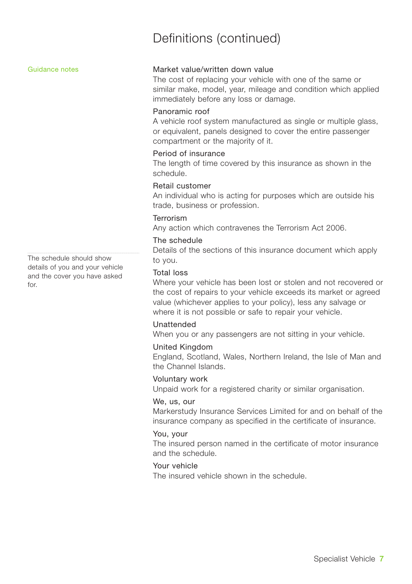## Definitions (continued)

Guidance notes

The schedule should show details of you and your vehicle and the cover you have asked for.

### Market value/written down value

The cost of replacing your vehicle with one of the same or similar make, model, year, mileage and condition which applied immediately before any loss or damage.

### Panoramic roof

A vehicle roof system manufactured as single or multiple glass, or equivalent, panels designed to cover the entire passenger compartment or the majority of it.

#### Period of insurance

The length of time covered by this insurance as shown in the schedule.

#### Retail customer

An individual who is acting for purposes which are outside his trade, business or profession.

#### Terrorism

Any action which contravenes the Terrorism Act 2006.

#### The schedule

Details of the sections of this insurance document which apply to you.

#### Total loss

Where your vehicle has been lost or stolen and not recovered or the cost of repairs to your vehicle exceeds its market or agreed value (whichever applies to your policy), less any salvage or where it is not possible or safe to repair your vehicle.

#### Unattended

When you or any passengers are not sitting in your vehicle.

#### United Kingdom

England, Scotland, Wales, Northern Ireland, the Isle of Man and the Channel Islands.

#### Voluntary work

Unpaid work for a registered charity or similar organisation.

#### We, us, our

Markerstudy Insurance Services Limited for and on behalf of the insurance company as specified in the certificate of insurance.

#### You, your

The insured person named in the certificate of motor insurance and the schedule.

### Your vehicle

The insured vehicle shown in the schedule.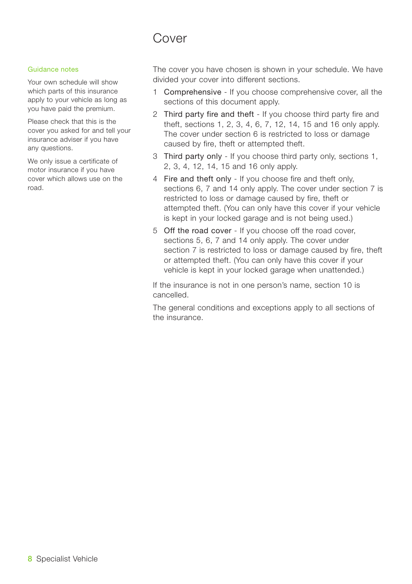## Cover

#### Guidance notes

Your own schedule will show which parts of this insurance apply to your vehicle as long as you have paid the premium.

Please check that this is the cover you asked for and tell your insurance adviser if you have any questions.

We only issue a certificate of motor insurance if you have cover which allows use on the road.

The cover you have chosen is shown in your schedule. We have divided your cover into different sections.

- 1 Comprehensive If you choose comprehensive cover, all the sections of this document apply.
- 2 Third party fire and theft If you choose third party fire and theft, sections 1, 2, 3, 4, 6, 7, 12, 14, 15 and 16 only apply. The cover under section 6 is restricted to loss or damage caused by fire, theft or attempted theft.
- 3 Third party only If you choose third party only, sections 1, 2, 3, 4, 12, 14, 15 and 16 only apply.
- 4 Fire and theft only If you choose fire and theft only, sections 6, 7 and 14 only apply. The cover under section 7 is restricted to loss or damage caused by fire, theft or attempted theft. (You can only have this cover if your vehicle is kept in your locked garage and is not being used.)
- 5 Off the road cover If you choose off the road cover, sections 5, 6, 7 and 14 only apply. The cover under section 7 is restricted to loss or damage caused by fire, theft or attempted theft. (You can only have this cover if your vehicle is kept in your locked garage when unattended.)

If the insurance is not in one person's name, section 10 is cancelled.

The general conditions and exceptions apply to all sections of the insurance.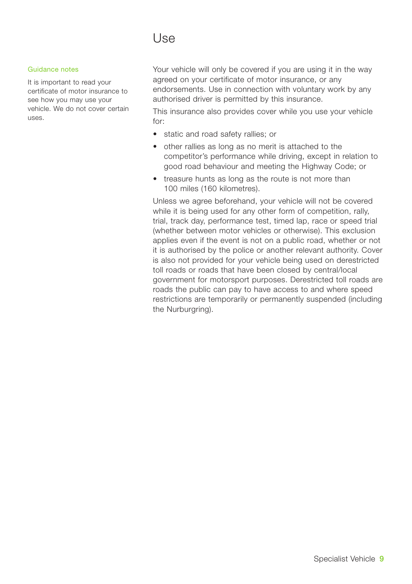## Use

#### Guidance notes

It is important to read your certificate of motor insurance to see how you may use your vehicle. We do not cover certain uses.

Your vehicle will only be covered if you are using it in the way agreed on your certificate of motor insurance, or any endorsements. Use in connection with voluntary work by any authorised driver is permitted by this insurance.

This insurance also provides cover while you use your vehicle for:

- static and road safety rallies; or
- other rallies as long as no merit is attached to the competitor's performance while driving, except in relation to good road behaviour and meeting the Highway Code; or
- treasure hunts as long as the route is not more than 100 miles (160 kilometres).

Unless we agree beforehand, your vehicle will not be covered while it is being used for any other form of competition, rally, trial, track day, performance test, timed lap, race or speed trial (whether between motor vehicles or otherwise). This exclusion applies even if the event is not on a public road, whether or not it is authorised by the police or another relevant authority. Cover is also not provided for your vehicle being used on derestricted toll roads or roads that have been closed by central/local government for motorsport purposes. Derestricted toll roads are roads the public can pay to have access to and where speed restrictions are temporarily or permanently suspended (including the Nurburgring).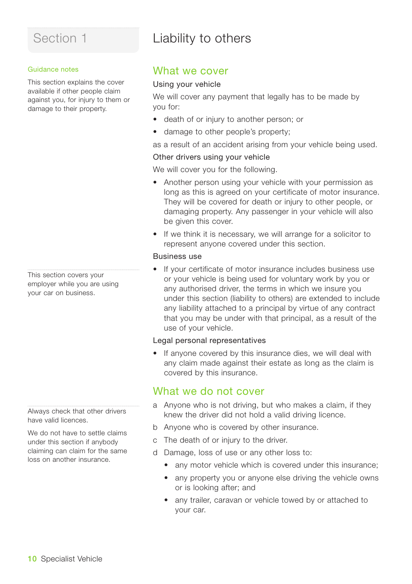## Liability to others

#### Guidance notes

This section explains the cover available if other people claim against you, for injury to them or damage to their property.

This section covers your employer while you are using your car on business.

Always check that other drivers have valid licences.

We do not have to settle claims under this section if anybody claiming can claim for the same loss on another insurance.

### What we cover

### Using your vehicle

We will cover any payment that legally has to be made by you for:

- death of or injury to another person; or
- damage to other people's property:

as a result of an accident arising from your vehicle being used.

### Other drivers using your vehicle

We will cover you for the following.

- Another person using your vehicle with your permission as long as this is agreed on your certificate of motor insurance. They will be covered for death or injury to other people, or damaging property. Any passenger in your vehicle will also be given this cover.
- If we think it is necessary, we will arrange for a solicitor to represent anyone covered under this section.

### Business use

If your certificate of motor insurance includes business use or your vehicle is being used for voluntary work by you or any authorised driver, the terms in which we insure you under this section (liability to others) are extended to include any liability attached to a principal by virtue of any contract that you may be under with that principal, as a result of the use of your vehicle.

#### Legal personal representatives

• If anyone covered by this insurance dies, we will deal with any claim made against their estate as long as the claim is covered by this insurance.

### What we do not cover

- a Anyone who is not driving, but who makes a claim, if they knew the driver did not hold a valid driving licence.
- b Anyone who is covered by other insurance.
- c The death of or injury to the driver.
- d Damage, loss of use or any other loss to:
	- any motor vehicle which is covered under this insurance;
	- any property you or anyone else driving the vehicle owns or is looking after; and
	- any trailer, caravan or vehicle towed by or attached to your car.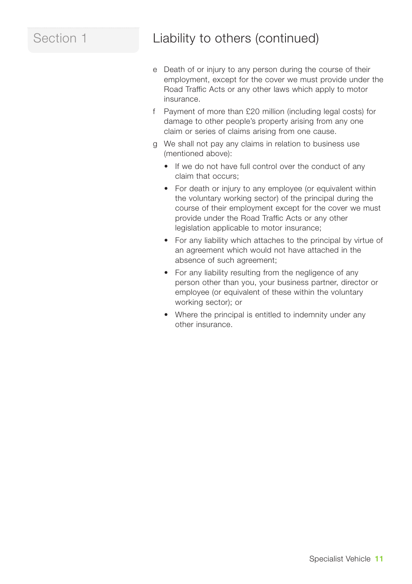## Section 1 Liability to others (continued)

- e Death of or injury to any person during the course of their employment, except for the cover we must provide under the Road Traffic Acts or any other laws which apply to motor insurance.
- f Payment of more than £20 million (including legal costs) for damage to other people's property arising from any one claim or series of claims arising from one cause.
- g We shall not pay any claims in relation to business use (mentioned above):
	- If we do not have full control over the conduct of any claim that occurs;
	- For death or injury to any employee (or equivalent within the voluntary working sector) of the principal during the course of their employment except for the cover we must provide under the Road Traffic Acts or any other legislation applicable to motor insurance;
	- For any liability which attaches to the principal by virtue of an agreement which would not have attached in the absence of such agreement;
	- For any liability resulting from the negligence of any person other than you, your business partner, director or employee (or equivalent of these within the voluntary working sector); or
	- Where the principal is entitled to indemnity under any other insurance.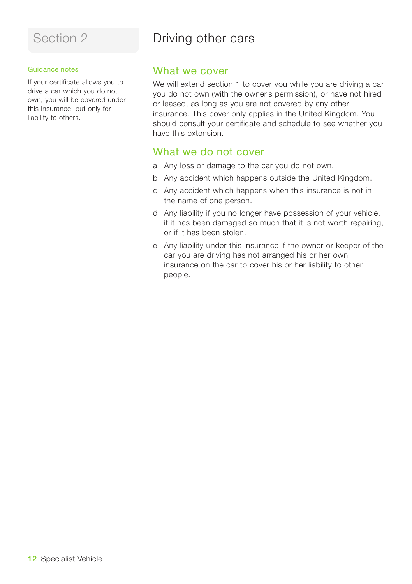#### Guidance notes

If your certificate allows you to drive a car which you do not own, you will be covered under this insurance, but only for liability to others.

## Driving other cars

### What we cover

We will extend section 1 to cover you while you are driving a car you do not own (with the owner's permission), or have not hired or leased, as long as you are not covered by any other insurance. This cover only applies in the United Kingdom. You should consult your certificate and schedule to see whether you have this extension.

### What we do not cover

- a Any loss or damage to the car you do not own.
- b Any accident which happens outside the United Kingdom.
- c Any accident which happens when this insurance is not in the name of one person.
- d Any liability if you no longer have possession of your vehicle, if it has been damaged so much that it is not worth repairing, or if it has been stolen.
- e Any liability under this insurance if the owner or keeper of the car you are driving has not arranged his or her own insurance on the car to cover his or her liability to other people.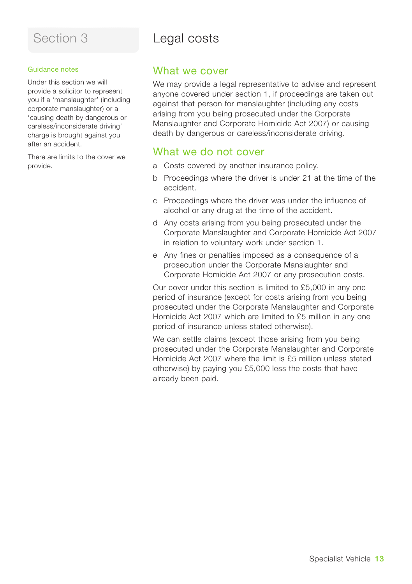## Section 3 Legal costs

#### Guidance notes

Under this section we will provide a solicitor to represent you if a 'manslaughter' (including corporate manslaughter) or a 'causing death by dangerous or careless/inconsiderate driving' charge is brought against you after an accident.

There are limits to the cover we provide.

### What we cover

We may provide a legal representative to advise and represent anyone covered under section 1, if proceedings are taken out against that person for manslaughter (including any costs arising from you being prosecuted under the Corporate Manslaughter and Corporate Homicide Act 2007) or causing death by dangerous or careless/inconsiderate driving.

### What we do not cover

- a Costs covered by another insurance policy.
- b Proceedings where the driver is under 21 at the time of the accident.
- c Proceedings where the driver was under the influence of alcohol or any drug at the time of the accident.
- d Any costs arising from you being prosecuted under the Corporate Manslaughter and Corporate Homicide Act 2007 in relation to voluntary work under section 1.
- e Any fines or penalties imposed as a consequence of a prosecution under the Corporate Manslaughter and Corporate Homicide Act 2007 or any prosecution costs.

Our cover under this section is limited to £5,000 in any one period of insurance (except for costs arising from you being prosecuted under the Corporate Manslaughter and Corporate Homicide Act 2007 which are limited to £5 million in any one period of insurance unless stated otherwise).

We can settle claims (except those arising from you being prosecuted under the Corporate Manslaughter and Corporate Homicide Act 2007 where the limit is £5 million unless stated otherwise) by paying you £5,000 less the costs that have already been paid.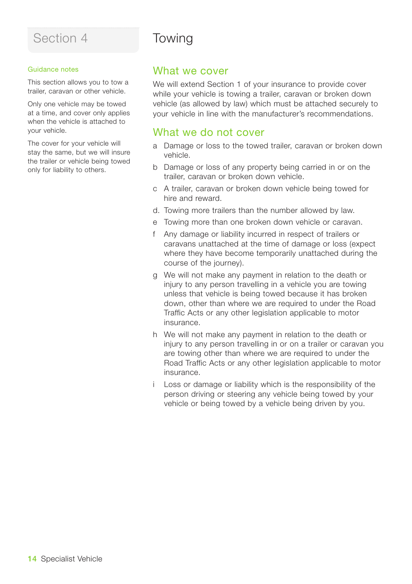#### Guidance notes

This section allows you to tow a trailer, caravan or other vehicle.

Only one vehicle may be towed at a time, and cover only applies when the vehicle is attached to your vehicle.

The cover for your vehicle will stay the same, but we will insure the trailer or vehicle being towed only for liability to others.

## Towing

### What we cover

We will extend Section 1 of your insurance to provide cover while your vehicle is towing a trailer, caravan or broken down vehicle (as allowed by law) which must be attached securely to your vehicle in line with the manufacturer's recommendations.

### What we do not cover

- a Damage or loss to the towed trailer, caravan or broken down vehicle.
- b Damage or loss of any property being carried in or on the trailer, caravan or broken down vehicle.
- c A trailer, caravan or broken down vehicle being towed for hire and reward.
- d. Towing more trailers than the number allowed by law.
- e Towing more than one broken down vehicle or caravan.
- Any damage or liability incurred in respect of trailers or caravans unattached at the time of damage or loss (expect where they have become temporarily unattached during the course of the journey).
- g We will not make any payment in relation to the death or injury to any person travelling in a vehicle you are towing unless that vehicle is being towed because it has broken down, other than where we are required to under the Road Traffic Acts or any other legislation applicable to motor insurance.
- h We will not make any payment in relation to the death or injury to any person travelling in or on a trailer or caravan you are towing other than where we are required to under the Road Traffic Acts or any other legislation applicable to motor insurance.
- Loss or damage or liability which is the responsibility of the person driving or steering any vehicle being towed by your vehicle or being towed by a vehicle being driven by you.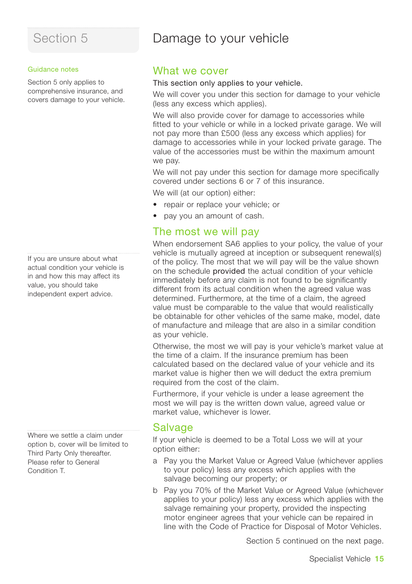## Damage to your vehicle

#### Guidance notes

Section 5 only applies to comprehensive insurance, and covers damage to your vehicle.

If you are unsure about what actual condition your vehicle is in and how this may affect its value, you should take independent expert advice.

Where we settle a claim under option b, cover will be limited to Third Party Only thereafter. Please refer to General Condition T.

### What we cover

### This section only applies to your vehicle.

We will cover you under this section for damage to your vehicle (less any excess which applies).

We will also provide cover for damage to accessories while fitted to your vehicle or while in a locked private garage. We will not pay more than £500 (less any excess which applies) for damage to accessories while in your locked private garage. The value of the accessories must be within the maximum amount we pay.

We will not pay under this section for damage more specifically covered under sections 6 or 7 of this insurance.

We will (at our option) either:

- repair or replace your vehicle; or
- pay you an amount of cash.

### The most we will pay

When endorsement SA6 applies to your policy, the value of your vehicle is mutually agreed at inception or subsequent renewal(s) of the policy. The most that we will pay will be the value shown on the schedule provided the actual condition of your vehicle immediately before any claim is not found to be significantly different from its actual condition when the agreed value was determined. Furthermore, at the time of a claim, the agreed value must be comparable to the value that would realistically be obtainable for other vehicles of the same make, model, date of manufacture and mileage that are also in a similar condition as your vehicle.

Otherwise, the most we will pay is your vehicle's market value at the time of a claim. If the insurance premium has been calculated based on the declared value of your vehicle and its market value is higher then we will deduct the extra premium required from the cost of the claim.

Furthermore, if your vehicle is under a lease agreement the most we will pay is the written down value, agreed value or market value, whichever is lower.

### **Salvage**

If your vehicle is deemed to be a Total Loss we will at your option either:

- a Pay you the Market Value or Agreed Value (whichever applies to your policy) less any excess which applies with the salvage becoming our property; or
- b Pay you 70% of the Market Value or Agreed Value (whichever applies to your policy) less any excess which applies with the salvage remaining your property, provided the inspecting motor engineer agrees that your vehicle can be repaired in line with the Code of Practice for Disposal of Motor Vehicles.

Section 5 continued on the next page.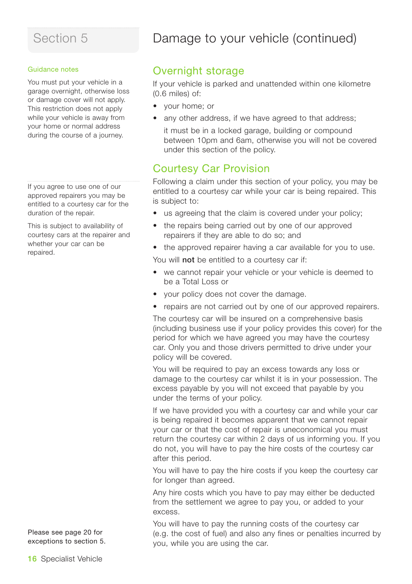#### Guidance notes

You must put your vehicle in a garage overnight, otherwise loss or damage cover will not apply. This restriction does not apply while your vehicle is away from your home or normal address during the course of a journey.

If you agree to use one of our approved repairers you may be entitled to a courtesy car for the duration of the repair.

This is subject to availability of courtesy cars at the repairer and whether your car can be repaired.

Please see page 20 for exceptions to section 5.

# Damage to your vehicle (continued)

## Overnight storage

If your vehicle is parked and unattended within one kilometre (0.6 miles) of:

- your home; or
- any other address, if we have agreed to that address;
	- it must be in a locked garage, building or compound between 10pm and 6am, otherwise you will not be covered under this section of the policy.

### Courtesy Car Provision

Following a claim under this section of your policy, you may be entitled to a courtesy car while your car is being repaired. This is subject to:

- us agreeing that the claim is covered under your policy;
- the repairs being carried out by one of our approved repairers if they are able to do so; and
- the approved repairer having a car available for you to use.

You will **not** be entitled to a courtesy car if:

- we cannot repair your vehicle or your vehicle is deemed to be a Total Loss or
- your policy does not cover the damage.
- repairs are not carried out by one of our approved repairers.

The courtesy car will be insured on a comprehensive basis (including business use if your policy provides this cover) for the period for which we have agreed you may have the courtesy car. Only you and those drivers permitted to drive under your policy will be covered.

You will be required to pay an excess towards any loss or damage to the courtesy car whilst it is in your possession. The excess payable by you will not exceed that payable by you under the terms of your policy.

If we have provided you with a courtesy car and while your car is being repaired it becomes apparent that we cannot repair your car or that the cost of repair is uneconomical you must return the courtesy car within 2 days of us informing you. If you do not, you will have to pay the hire costs of the courtesy car after this period.

You will have to pay the hire costs if you keep the courtesy car for longer than agreed.

Any hire costs which you have to pay may either be deducted from the settlement we agree to pay you, or added to your excess.

You will have to pay the running costs of the courtesy car (e.g. the cost of fuel) and also any fines or penalties incurred by you, while you are using the car.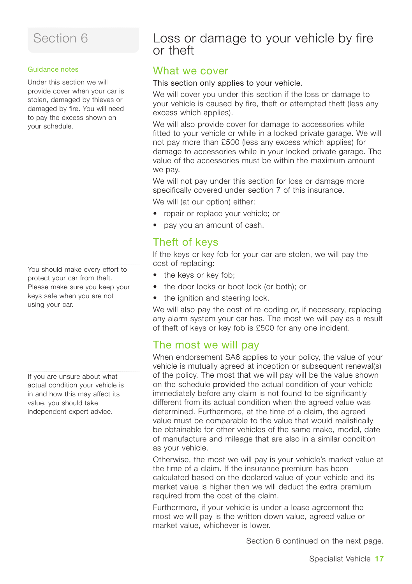#### Guidance notes

Under this section we will provide cover when your car is stolen, damaged by thieves or damaged by fire. You will need to pay the excess shown on your schedule.

You should make every effort to protect your car from theft. Please make sure you keep your keys safe when you are not using your car.

If you are unsure about what actual condition your vehicle is in and how this may affect its value, you should take independent expert advice.

## Loss or damage to your vehicle by fire or theft

### What we cover

### This section only applies to your vehicle.

We will cover you under this section if the loss or damage to your vehicle is caused by fire, theft or attempted theft (less any excess which applies).

We will also provide cover for damage to accessories while fitted to your vehicle or while in a locked private garage. We will not pay more than £500 (less any excess which applies) for damage to accessories while in your locked private garage. The value of the accessories must be within the maximum amount we pay.

We will not pay under this section for loss or damage more specifically covered under section 7 of this insurance. We will (at our option) either:

• repair or replace your vehicle; or

• pay you an amount of cash.

### Theft of keys

If the keys or key fob for your car are stolen, we will pay the cost of replacing:

- the keys or key fob;
- the door locks or boot lock (or both); or
- the ignition and steering lock.

We will also pay the cost of re-coding or, if necessary, replacing any alarm system your car has. The most we will pay as a result of theft of keys or key fob is £500 for any one incident.

### The most we will pay

When endorsement SA6 applies to your policy, the value of your vehicle is mutually agreed at inception or subsequent renewal(s) of the policy. The most that we will pay will be the value shown on the schedule provided the actual condition of your vehicle immediately before any claim is not found to be significantly different from its actual condition when the agreed value was determined. Furthermore, at the time of a claim, the agreed value must be comparable to the value that would realistically be obtainable for other vehicles of the same make, model, date of manufacture and mileage that are also in a similar condition as your vehicle.

Otherwise, the most we will pay is your vehicle's market value at the time of a claim. If the insurance premium has been calculated based on the declared value of your vehicle and its market value is higher then we will deduct the extra premium required from the cost of the claim.

Furthermore, if your vehicle is under a lease agreement the most we will pay is the written down value, agreed value or market value, whichever is lower.

Section 6 continued on the next page.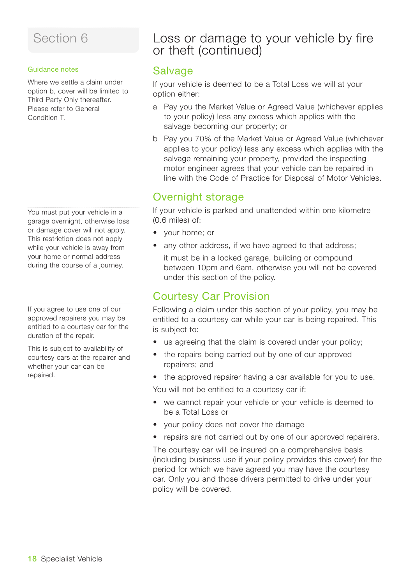#### Guidance notes

Where we settle a claim under option b, cover will be limited to Third Party Only thereafter. Please refer to General Condition T.

You must put your vehicle in a garage overnight, otherwise loss or damage cover will not apply. This restriction does not apply while your vehicle is away from your home or normal address during the course of a journey.

If you agree to use one of our approved repairers you may be entitled to a courtesy car for the duration of the repair.

This is subject to availability of courtesy cars at the repairer and whether your car can be repaired.

## Loss or damage to your vehicle by fire or theft (continued)

### **Salvage**

If your vehicle is deemed to be a Total Loss we will at your option either:

- a Pay you the Market Value or Agreed Value (whichever applies to your policy) less any excess which applies with the salvage becoming our property; or
- b Pay you 70% of the Market Value or Agreed Value (whichever applies to your policy) less any excess which applies with the salvage remaining your property, provided the inspecting motor engineer agrees that your vehicle can be repaired in line with the Code of Practice for Disposal of Motor Vehicles.

### Overnight storage

If your vehicle is parked and unattended within one kilometre (0.6 miles) of:

- your home; or
- any other address, if we have agreed to that address;
	- it must be in a locked garage, building or compound between 10pm and 6am, otherwise you will not be covered under this section of the policy.

## Courtesy Car Provision

Following a claim under this section of your policy, you may be entitled to a courtesy car while your car is being repaired. This is subject to:

- us agreeing that the claim is covered under your policy;
- the repairs being carried out by one of our approved repairers; and
- the approved repairer having a car available for you to use.

You will not be entitled to a courtesy car if:

- we cannot repair your vehicle or your vehicle is deemed to be a Total Loss or
- your policy does not cover the damage
- repairs are not carried out by one of our approved repairers.

The courtesy car will be insured on a comprehensive basis (including business use if your policy provides this cover) for the period for which we have agreed you may have the courtesy car. Only you and those drivers permitted to drive under your policy will be covered.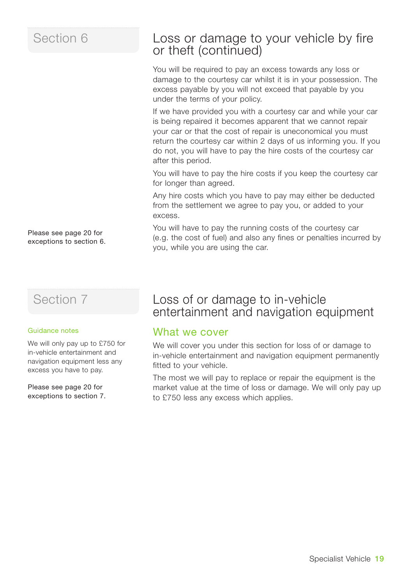Please see page 20 for exceptions to section 6.

## Section 7

#### Guidance notes

We will only pay up to £750 for in-vehicle entertainment and navigation equipment less any excess you have to pay.

Please see page 20 for exceptions to section 7.

## Loss or damage to your vehicle by fire or theft (continued)

You will be required to pay an excess towards any loss or damage to the courtesy car whilst it is in your possession. The excess payable by you will not exceed that payable by you under the terms of your policy.

If we have provided you with a courtesy car and while your car is being repaired it becomes apparent that we cannot repair your car or that the cost of repair is uneconomical you must return the courtesy car within 2 days of us informing you. If you do not, you will have to pay the hire costs of the courtesy car after this period.

You will have to pay the hire costs if you keep the courtesy car for longer than agreed.

Any hire costs which you have to pay may either be deducted from the settlement we agree to pay you, or added to your excess.

You will have to pay the running costs of the courtesy car (e.g. the cost of fuel) and also any fines or penalties incurred by you, while you are using the car.

### Loss of or damage to in-vehicle entertainment and navigation equipment

### What we cover

We will cover you under this section for loss of or damage to in-vehicle entertainment and navigation equipment permanently fitted to your vehicle.

The most we will pay to replace or repair the equipment is the market value at the time of loss or damage. We will only pay up to £750 less any excess which applies.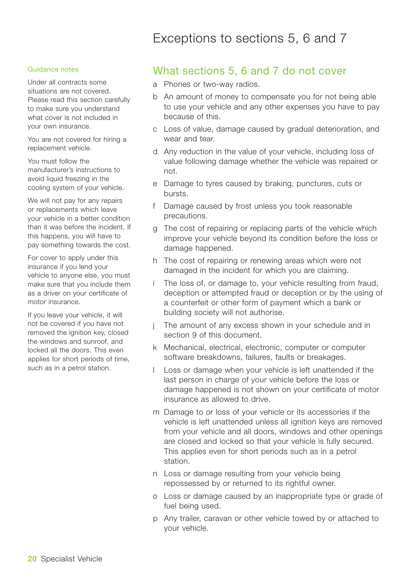#### Guidance notes

Under all contracts some situations are not covered. Please read this section carefully to make sure you understand what cover is not included in your own insurance.

You are not covered for hiring a replacement vehicle.

You must follow the manufacturer's instructions to avoid liquid freezing in the cooling system of your vehicle.

We will not pay for any repairs or replacements which leave your vehicle in a better condition than it was before the incident. If this happens, you will have to pay something towards the cost.

For cover to apply under this insurance if you lend your vehicle to anyone else, you must make sure that you include them as a driver on your certificate of motor insurance.

If you leave your vehicle, it will not be covered if you have not removed the ignition key, closed the windows and sunroof, and locked all the doors. This even applies for short periods of time, such as in a petrol station.

### What sections 5, 6 and 7 do not cover

- a Phones or two-way radios.
- b An amount of money to compensate you for not being able to use your vehicle and any other expenses you have to pay because of this.
- c Loss of value, damage caused by gradual deterioration, and wear and tear.
- d Any reduction in the value of your vehicle, including loss of value following damage whether the vehicle was repaired or not.
- e Damage to tyres caused by braking, punctures, cuts or bursts.
- f Damage caused by frost unless you took reasonable precautions.
- g The cost of repairing or replacing parts of the vehicle which improve your vehicle beyond its condition before the loss or damage happened.
- h The cost of repairing or renewing areas which were not damaged in the incident for which you are claiming.
- The loss of, or damage to, your vehicle resulting from fraud, deception or attempted fraud or deception or by the using of a counterfeit or other form of payment which a bank or building society will not authorise.
- The amount of any excess shown in your schedule and in section 9 of this document.
- k Mechanical, electrical, electronic, computer or computer software breakdowns, failures, faults or breakages.
- Loss or damage when your vehicle is left unattended if the last person in charge of your vehicle before the loss or damage happened is not shown on your certificate of motor insurance as allowed to drive.
- m Damage to or loss of your vehicle or its accessories if the vehicle is left unattended unless all ignition keys are removed from your vehicle and all doors, windows and other openings are closed and locked so that your vehicle is fully secured. This applies even for short periods such as in a petrol station.
- n Loss or damage resulting from your vehicle being repossessed by or returned to its rightful owner.
- o Loss or damage caused by an inappropriate type or grade of fuel being used.
- p Any trailer, caravan or other vehicle towed by or attached to your vehicle.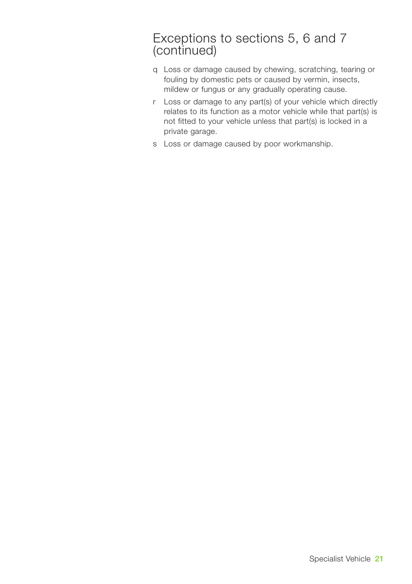## Exceptions to sections 5, 6 and 7 (continued)

- q Loss or damage caused by chewing, scratching, tearing or fouling by domestic pets or caused by vermin, insects, mildew or fungus or any gradually operating cause.
- r Loss or damage to any part(s) of your vehicle which directly relates to its function as a motor vehicle while that part(s) is not fitted to your vehicle unless that part(s) is locked in a private garage.
- s Loss or damage caused by poor workmanship.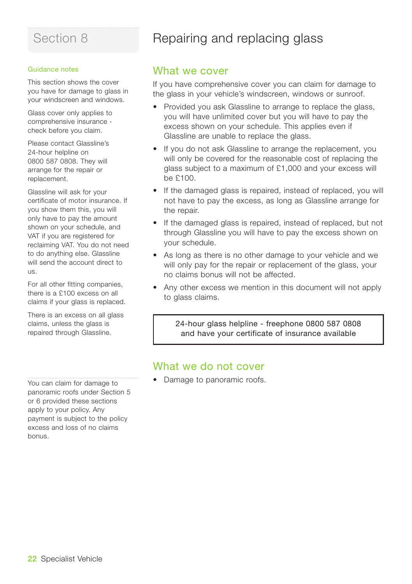#### Guidance notes

This section shows the cover you have for damage to glass in your windscreen and windows.

Glass cover only applies to comprehensive insurance check before you claim.

Please contact Glassline's 24-hour helpline on 0800 587 0808. They will arrange for the repair or replacement.

Glassline will ask for your certificate of motor insurance. If you show them this, you will only have to pay the amount shown on your schedule, and VAT if you are registered for reclaiming VAT. You do not need to do anything else. Glassline will send the account direct to  $\overline{18}$ 

For all other fitting companies, there is a £100 excess on all claims if your glass is replaced.

There is an excess on all glass claims, unless the glass is repaired through Glassline.

Repairing and replacing glass

### What we cover

If you have comprehensive cover you can claim for damage to the glass in your vehicle's windscreen, windows or sunroof.

- Provided you ask Glassline to arrange to replace the glass, you will have unlimited cover but you will have to pay the excess shown on your schedule. This applies even if Glassline are unable to replace the glass.
- If you do not ask Glassline to arrange the replacement, you will only be covered for the reasonable cost of replacing the glass subject to a maximum of £1,000 and your excess will be £100.
- If the damaged glass is repaired, instead of replaced, you will not have to pay the excess, as long as Glassline arrange for the repair.
- If the damaged glass is repaired, instead of replaced, but not through Glassline you will have to pay the excess shown on your schedule.
- As long as there is no other damage to your vehicle and we will only pay for the repair or replacement of the glass, your no claims bonus will not be affected.
- Any other excess we mention in this document will not apply to glass claims.

24-hour glass helpline - freephone 0800 587 0808 and have your certificate of insurance available

### What we do not cover

• Damage to panoramic roofs.

You can claim for damage to panoramic roofs under Section 5 or 6 provided these sections apply to your policy. Any payment is subject to the policy excess and loss of no claims bonus.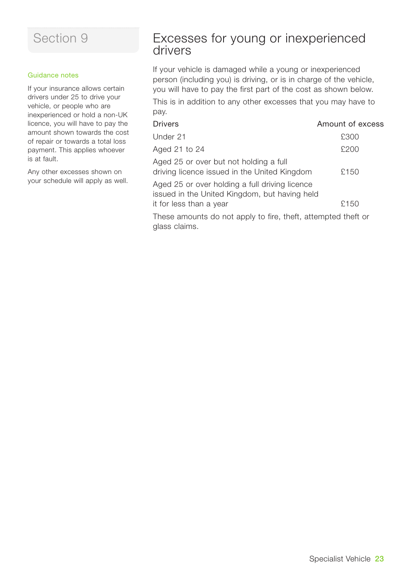#### Guidance notes

If your insurance allows certain drivers under 25 to drive your vehicle, or people who are inexperienced or hold a non-UK licence, you will have to pay the amount shown towards the cost of repair or towards a total loss payment. This applies whoever is at fault.

Any other excesses shown on your schedule will apply as well.

## Excesses for young or inexperienced drivers

If your vehicle is damaged while a young or inexperienced person (including you) is driving, or is in charge of the vehicle, you will have to pay the first part of the cost as shown below.

This is in addition to any other excesses that you may have to pay.

| <b>Drivers</b>                                                                                  | Amount of excess |
|-------------------------------------------------------------------------------------------------|------------------|
| Under 21                                                                                        | £300             |
| Aged 21 to 24                                                                                   | £200             |
| Aged 25 or over but not holding a full<br>driving licence issued in the United Kingdom          | £150             |
| Aged 25 or over holding a full driving licence<br>issued in the United Kingdom, but having held |                  |
| it for less than a year                                                                         | £150             |
|                                                                                                 |                  |

These amounts do not apply to fire, theft, attempted theft or glass claims.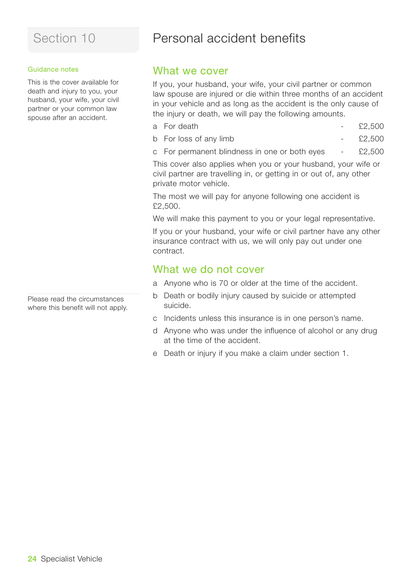#### Guidance notes

This is the cover available for death and injury to you, your husband, your wife, your civil partner or your common law spouse after an accident.

Please read the circumstances where this benefit will not apply.

## Personal accident benefits

### What we cover

If you, your husband, your wife, your civil partner or common law spouse are injured or die within three months of an accident in your vehicle and as long as the accident is the only cause of the injury or death, we will pay the following amounts.

- a For death  $\epsilon$  2.500
- b For loss of any limb £2,500
- c For permanent blindness in one or both eyes £2,500

This cover also applies when you or your husband, your wife or civil partner are travelling in, or getting in or out of, any other private motor vehicle.

The most we will pay for anyone following one accident is £2,500.

We will make this payment to you or your legal representative.

If you or your husband, your wife or civil partner have any other insurance contract with us, we will only pay out under one contract.

### What we do not cover

- a Anyone who is 70 or older at the time of the accident.
- b Death or bodily injury caused by suicide or attempted suicide.
- c Incidents unless this insurance is in one person's name.
- d Anyone who was under the influence of alcohol or any drug at the time of the accident.
- e Death or injury if you make a claim under section 1.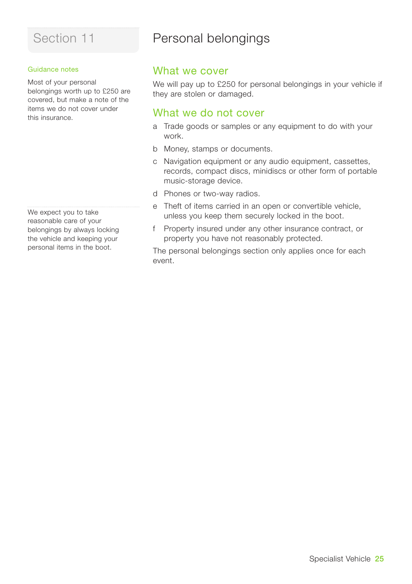#### Guidance notes

Most of your personal belongings worth up to £250 are covered, but make a note of the items we do not cover under this insurance.

We expect you to take reasonable care of your belongings by always locking the vehicle and keeping your personal items in the boot.

## Personal belongings

### What we cover

We will pay up to £250 for personal belongings in your vehicle if they are stolen or damaged.

### What we do not cover

- a Trade goods or samples or any equipment to do with your work.
- b Money, stamps or documents.
- c Navigation equipment or any audio equipment, cassettes, records, compact discs, minidiscs or other form of portable music-storage device.
- d Phones or two-way radios.
- e Theft of items carried in an open or convertible vehicle, unless you keep them securely locked in the boot.
- f Property insured under any other insurance contract, or property you have not reasonably protected.

The personal belongings section only applies once for each event.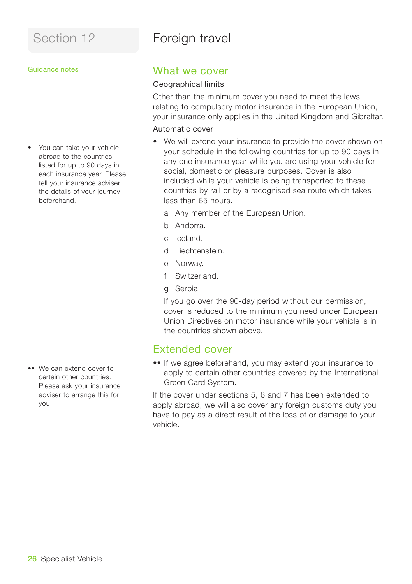## Foreign travel

#### Guidance notes

• You can take your vehicle abroad to the countries listed for up to 90 days in each insurance year. Please tell your insurance adviser the details of your journey beforehand.

•• We can extend cover to certain other countries. Please ask your insurance adviser to arrange this for you.

### What we cover

#### Geographical limits

Other than the minimum cover you need to meet the laws relating to compulsory motor insurance in the European Union, your insurance only applies in the United Kingdom and Gibraltar.

### Automatic cover

- We will extend your insurance to provide the cover shown on your schedule in the following countries for up to 90 days in any one insurance year while you are using your vehicle for social, domestic or pleasure purposes. Cover is also included while your vehicle is being transported to these countries by rail or by a recognised sea route which takes less than 65 hours.
	- a Any member of the European Union.
	- b Andorra.
	- c Iceland.
	- d Liechtenstein.
	- e Norway.
	- f Switzerland.
	- g Serbia.

If you go over the 90-day period without our permission, cover is reduced to the minimum you need under European Union Directives on motor insurance while your vehicle is in the countries shown above.

### Extended cover

•• If we agree beforehand, you may extend your insurance to apply to certain other countries covered by the International Green Card System.

If the cover under sections 5, 6 and 7 has been extended to apply abroad, we will also cover any foreign customs duty you have to pay as a direct result of the loss of or damage to your vehicle.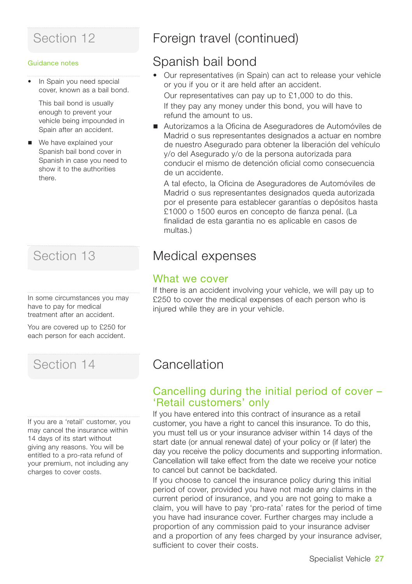#### Guidance notes

• In Spain you need special cover, known as a bail bond.

This bail bond is usually enough to prevent your vehicle being impounded in Spain after an accident.

■ We have explained your Spanish bail bond cover in Spanish in case you need to show it to the authorities there.

In some circumstances you may have to pay for medical treatment after an accident.

You are covered up to £250 for each person for each accident.

If you are a 'retail' customer, you may cancel the insurance within 14 days of its start without giving any reasons. You will be entitled to a pro-rata refund of your premium, not including any charges to cover costs.

## Section 12 **Foreign travel (continued)**

## Spanish bail bond

- Our representatives (in Spain) can act to release your vehicle or you if you or it are held after an accident. Our representatives can pay up to £1,000 to do this. If they pay any money under this bond, you will have to refund the amount to us.
- Autorizamos a la Oficina de Aseguradores de Automóviles de Madrid o sus representantes designados a actuar en nombre de nuestro Asegurado para obtener la liberación del vehículo y/o del Asegurado y/o de la persona autorizada para conducir el mismo de detención oficial como consecuencia de un accidente.

A tal efecto, la Oficina de Aseguradores de Automóviles de Madrid o sus representantes designados queda autorizada por el presente para establecer garantías o depósitos hasta £1000 o 1500 euros en concepto de fianza penal. (La finalidad de esta garantia no es aplicable en casos de multas.)

## Section 13 **Medical expenses**

### What we cover

If there is an accident involving your vehicle, we will pay up to £250 to cover the medical expenses of each person who is injured while they are in your vehicle.

## Section 14 Cancellation

### Cancelling during the initial period of cover – 'Retail customers' only

If you have entered into this contract of insurance as a retail customer, you have a right to cancel this insurance. To do this, you must tell us or your insurance adviser within 14 days of the start date (or annual renewal date) of your policy or (if later) the day you receive the policy documents and supporting information. Cancellation will take effect from the date we receive your notice to cancel but cannot be backdated.

If you choose to cancel the insurance policy during this initial period of cover, provided you have not made any claims in the current period of insurance, and you are not going to make a claim, you will have to pay 'pro-rata' rates for the period of time you have had insurance cover. Further charges may include a proportion of any commission paid to your insurance adviser and a proportion of any fees charged by your insurance adviser, sufficient to cover their costs.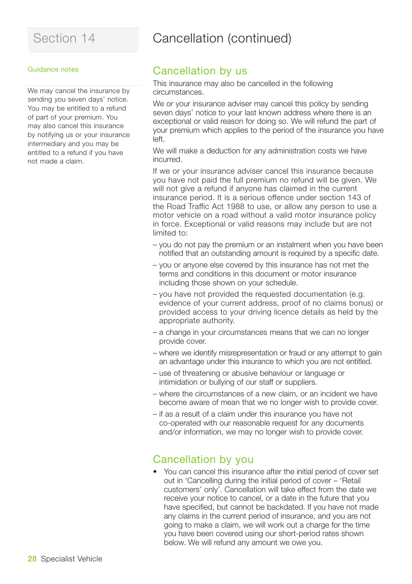## Section 14 **Cancellation (continued)**

#### Guidance notes

We may cancel the insurance by sending you seven days' notice. You may be entitled to a refund of part of your premium. You may also cancel this insurance by notifying us or your insurance intermediary and you may be entitled to a refund if you have not made a claim.

### Cancellation by us

This insurance may also be cancelled in the following circumstances.

We or your insurance adviser may cancel this policy by sending seven days' notice to your last known address where there is an exceptional or valid reason for doing so. We will refund the part of your premium which applies to the period of the insurance you have left.

We will make a deduction for any administration costs we have incurred.

If we or your insurance adviser cancel this insurance because you have not paid the full premium no refund will be given. We will not give a refund if anyone has claimed in the current insurance period. It is a serious offence under section 143 of the Road Traffic Act 1988 to use, or allow any person to use a motor vehicle on a road without a valid motor insurance policy in force. Exceptional or valid reasons may include but are not limited to:

- you do not pay the premium or an instalment when you have been notified that an outstanding amount is required by a specific date.
- you or anyone else covered by this insurance has not met the terms and conditions in this document or motor insurance including those shown on your schedule.
- you have not provided the requested documentation (e.g. evidence of your current address, proof of no claims bonus) or provided access to your driving licence details as held by the appropriate authority.
- a change in your circumstances means that we can no longer provide cover.
- where we identify misrepresentation or fraud or any attempt to gain an advantage under this insurance to which you are not entitled.
- use of threatening or abusive behaviour or language or intimidation or bullying of our staff or suppliers.
- where the circumstances of a new claim, or an incident we have become aware of mean that we no longer wish to provide cover.
- if as a result of a claim under this insurance you have not co-operated with our reasonable request for any documents and/or information, we may no longer wish to provide cover.

### Cancellation by you

• You can cancel this insurance after the initial period of cover set out in 'Cancelling during the initial period of cover – 'Retail customers' only'. Cancellation will take effect from the date we receive your notice to cancel, or a date in the future that you have specified, but cannot be backdated. If you have not made any claims in the current period of insurance, and you are not going to make a claim, we will work out a charge for the time you have been covered using our short-period rates shown below. We will refund any amount we owe you.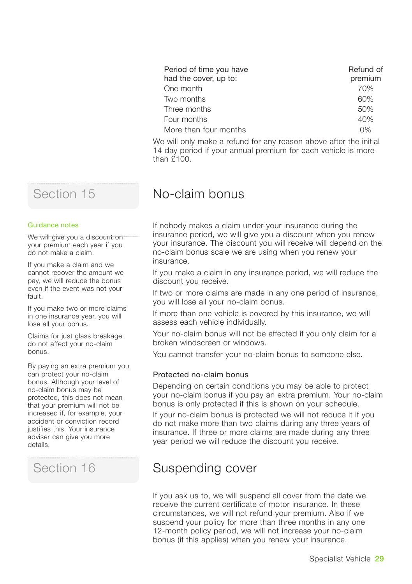| Period of time you have<br>had the cover, up to: | Refund of<br>premium |
|--------------------------------------------------|----------------------|
| One month                                        | 70%                  |
| Two months                                       | 60%                  |
| Three months                                     | 50%                  |
| Four months                                      | 40%                  |
| More than four months                            | $0\%$                |

We will only make a refund for any reason above after the initial 14 day period if your annual premium for each vehicle is more than £100.

## No-claim bonus

If nobody makes a claim under your insurance during the insurance period, we will give you a discount when you renew your insurance. The discount you will receive will depend on the no-claim bonus scale we are using when you renew your insurance.

If you make a claim in any insurance period, we will reduce the discount you receive.

If two or more claims are made in any one period of insurance, you will lose all your no-claim bonus.

If more than one vehicle is covered by this insurance, we will assess each vehicle individually.

Your no-claim bonus will not be affected if you only claim for a broken windscreen or windows.

You cannot transfer your no-claim bonus to someone else.

#### Protected no-claim bonus

Depending on certain conditions you may be able to protect your no-claim bonus if you pay an extra premium. Your no-claim bonus is only protected if this is shown on your schedule.

If your no-claim bonus is protected we will not reduce it if you do not make more than two claims during any three years of insurance. If three or more claims are made during any three year period we will reduce the discount you receive.

## Section 16 **Suspending cover**

If you ask us to, we will suspend all cover from the date we receive the current certificate of motor insurance. In these circumstances, we will not refund your premium. Also if we suspend your policy for more than three months in any one 12-month policy period, we will not increase your no-claim bonus (if this applies) when you renew your insurance.

## Section 15

#### Guidance notes

We will give you a discount on your premium each year if you do not make a claim.

If you make a claim and we cannot recover the amount we pay, we will reduce the bonus even if the event was not your fault.

If you make two or more claims in one insurance year, you will lose all your bonus.

Claims for just glass breakage do not affect your no-claim bonus.

By paying an extra premium you can protect your no-claim bonus. Although your level of no-claim bonus may be protected, this does not mean that your premium will not be increased if, for example, your accident or conviction record justifies this. Your insurance adviser can give you more details.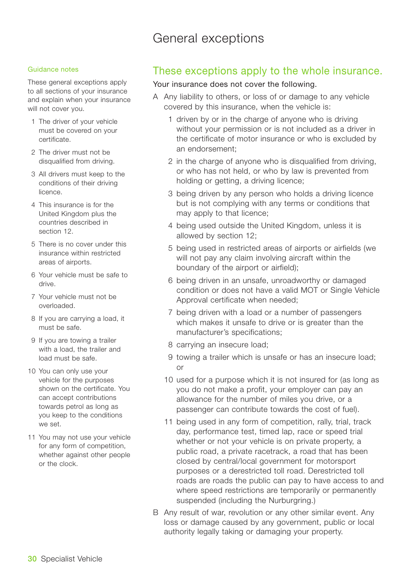## General exceptions

#### Guidance notes

These general exceptions apply to all sections of your insurance and explain when your insurance will not cover you.

- 1 The driver of your vehicle must be covered on your certificate.
- 2 The driver must not be disqualified from driving.
- 3 All drivers must keep to the conditions of their driving licence.
- 4 This insurance is for the United Kingdom plus the countries described in section 12.
- 5 There is no cover under this insurance within restricted areas of airports.
- 6 Your vehicle must be safe to drive.
- 7 Your vehicle must not be overloaded.
- 8 If you are carrying a load, it must be safe.
- 9 If you are towing a trailer with a load, the trailer and load must be safe.
- 10 You can only use your vehicle for the purposes shown on the certificate. You can accept contributions towards petrol as long as you keep to the conditions we set.
- 11 You may not use your vehicle for any form of competition, whether against other people or the clock.

### These exceptions apply to the whole insurance.

#### Your insurance does not cover the following.

- A Any liability to others, or loss of or damage to any vehicle covered by this insurance, when the vehicle is:
	- 1 driven by or in the charge of anyone who is driving without your permission or is not included as a driver in the certificate of motor insurance or who is excluded by an endorsement;
	- 2 in the charge of anyone who is disqualified from driving, or who has not held, or who by law is prevented from holding or getting, a driving licence;
	- 3 being driven by any person who holds a driving licence but is not complying with any terms or conditions that may apply to that licence;
	- 4 being used outside the United Kingdom, unless it is allowed by section 12;
	- 5 being used in restricted areas of airports or airfields (we will not pay any claim involving aircraft within the boundary of the airport or airfield);
	- 6 being driven in an unsafe, unroadworthy or damaged condition or does not have a valid MOT or Single Vehicle Approval certificate when needed;
	- 7 being driven with a load or a number of passengers which makes it unsafe to drive or is greater than the manufacturer's specifications;
	- 8 carrying an insecure load;
	- 9 towing a trailer which is unsafe or has an insecure load; or
	- 10 used for a purpose which it is not insured for (as long as you do not make a profit, your employer can pay an allowance for the number of miles you drive, or a passenger can contribute towards the cost of fuel).
	- 11 being used in any form of competition, rally, trial, track day, performance test, timed lap, race or speed trial whether or not your vehicle is on private property, a public road, a private racetrack, a road that has been closed by central/local government for motorsport purposes or a derestricted toll road. Derestricted toll roads are roads the public can pay to have access to and where speed restrictions are temporarily or permanently suspended (including the Nurburgring.)
- B Any result of war, revolution or any other similar event. Any loss or damage caused by any government, public or local authority legally taking or damaging your property.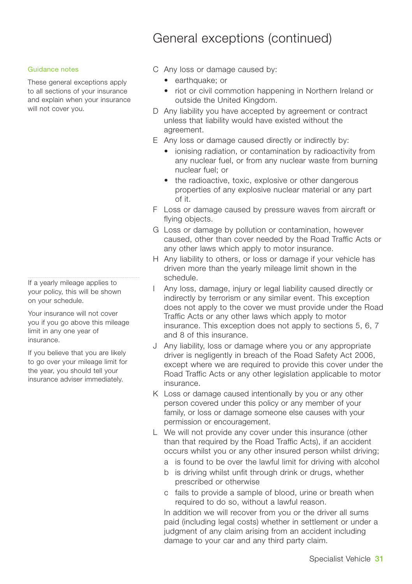## General exceptions (continued)

#### Guidance notes

These general exceptions apply to all sections of your insurance and explain when your insurance will not cover you.

If a yearly mileage applies to your policy, this will be shown on your schedule.

Your insurance will not cover you if you go above this mileage limit in any one year of insurance.

If you believe that you are likely to go over your mileage limit for the year, you should tell your insurance adviser immediately.

- C Any loss or damage caused by:
	- earthquake: or
	- riot or civil commotion happening in Northern Ireland or outside the United Kingdom.
- D Any liability you have accepted by agreement or contract unless that liability would have existed without the agreement.
- E Any loss or damage caused directly or indirectly by:
	- ionising radiation, or contamination by radioactivity from any nuclear fuel, or from any nuclear waste from burning nuclear fuel; or
	- the radioactive, toxic, explosive or other dangerous properties of any explosive nuclear material or any part of it.
- F Loss or damage caused by pressure waves from aircraft or flying objects.
- G Loss or damage by pollution or contamination, however caused, other than cover needed by the Road Traffic Acts or any other laws which apply to motor insurance.
- H Any liability to others, or loss or damage if your vehicle has driven more than the yearly mileage limit shown in the schedule.
- Any loss, damage, injury or legal liability caused directly or indirectly by terrorism or any similar event. This exception does not apply to the cover we must provide under the Road Traffic Acts or any other laws which apply to motor insurance. This exception does not apply to sections 5, 6, 7 and 8 of this insurance.
- J Any liability, loss or damage where you or any appropriate driver is negligently in breach of the Road Safety Act 2006, except where we are required to provide this cover under the Road Traffic Acts or any other legislation applicable to motor insurance.
- K Loss or damage caused intentionally by you or any other person covered under this policy or any member of your family, or loss or damage someone else causes with your permission or encouragement.
- L We will not provide any cover under this insurance (other than that required by the Road Traffic Acts), if an accident occurs whilst you or any other insured person whilst driving;
	- a is found to be over the lawful limit for driving with alcohol
	- b is driving whilst unfit through drink or drugs, whether prescribed or otherwise
	- c fails to provide a sample of blood, urine or breath when required to do so, without a lawful reason.

In addition we will recover from you or the driver all sums paid (including legal costs) whether in settlement or under a judgment of any claim arising from an accident including damage to your car and any third party claim.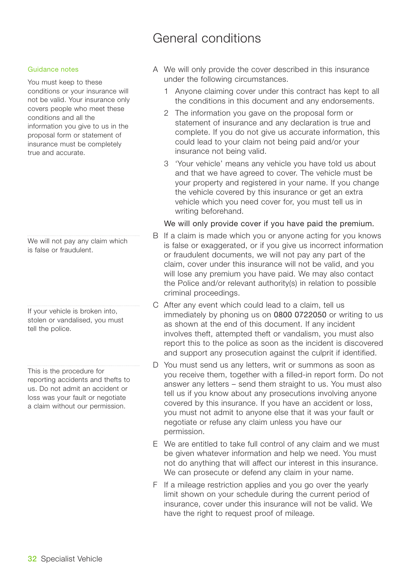## General conditions

#### Guidance notes

You must keep to these conditions or your insurance will not be valid. Your insurance only covers people who meet these conditions and all the information you give to us in the proposal form or statement of insurance must be completely true and accurate.

We will not pay any claim which is false or fraudulent.

If your vehicle is broken into, stolen or vandalised, you must tell the police.

This is the procedure for reporting accidents and thefts to us. Do not admit an accident or loss was your fault or negotiate a claim without our permission.

- A We will only provide the cover described in this insurance under the following circumstances.
	- 1 Anyone claiming cover under this contract has kept to all the conditions in this document and any endorsements.
	- 2 The information you gave on the proposal form or statement of insurance and any declaration is true and complete. If you do not give us accurate information, this could lead to your claim not being paid and/or your insurance not being valid.
	- 3 'Your vehicle' means any vehicle you have told us about and that we have agreed to cover. The vehicle must be your property and registered in your name. If you change the vehicle covered by this insurance or get an extra vehicle which you need cover for, you must tell us in writing beforehand.

#### We will only provide cover if you have paid the premium.

- B If a claim is made which you or anyone acting for you knows is false or exaggerated, or if you give us incorrect information or fraudulent documents, we will not pay any part of the claim, cover under this insurance will not be valid, and you will lose any premium you have paid. We may also contact the Police and/or relevant authority(s) in relation to possible criminal proceedings.
- C After any event which could lead to a claim, tell us immediately by phoning us on 0800 0722050 or writing to us as shown at the end of this document. If any incident involves theft, attempted theft or vandalism, you must also report this to the police as soon as the incident is discovered and support any prosecution against the culprit if identified.
- D You must send us any letters, writ or summons as soon as you receive them, together with a filled-in report form. Do not answer any letters – send them straight to us. You must also tell us if you know about any prosecutions involving anyone covered by this insurance. If you have an accident or loss, you must not admit to anyone else that it was your fault or negotiate or refuse any claim unless you have our permission.
- E We are entitled to take full control of any claim and we must be given whatever information and help we need. You must not do anything that will affect our interest in this insurance. We can prosecute or defend any claim in your name.
- F If a mileage restriction applies and you go over the yearly limit shown on your schedule during the current period of insurance, cover under this insurance will not be valid. We have the right to request proof of mileage.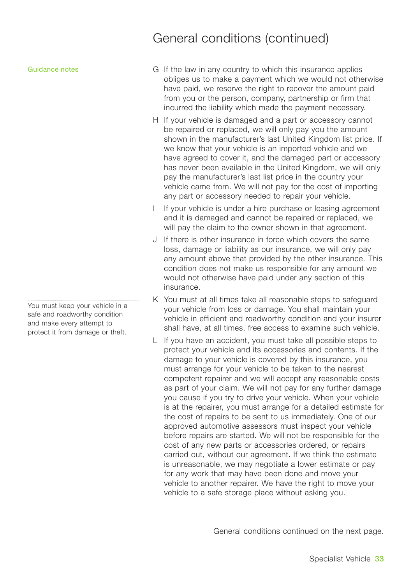#### Guidance notes

You must keep your vehicle in a safe and roadworthy condition and make every attempt to protect it from damage or theft.

## General conditions (continued)

- G If the law in any country to which this insurance applies obliges us to make a payment which we would not otherwise have paid, we reserve the right to recover the amount paid from you or the person, company, partnership or firm that incurred the liability which made the payment necessary.
- H If your vehicle is damaged and a part or accessory cannot be repaired or replaced, we will only pay you the amount shown in the manufacturer's last United Kingdom list price. If we know that your vehicle is an imported vehicle and we have agreed to cover it, and the damaged part or accessory has never been available in the United Kingdom, we will only pay the manufacturer's last list price in the country your vehicle came from. We will not pay for the cost of importing any part or accessory needed to repair your vehicle.
- I If your vehicle is under a hire purchase or leasing agreement and it is damaged and cannot be repaired or replaced, we will pay the claim to the owner shown in that agreement.
- J If there is other insurance in force which covers the same loss, damage or liability as our insurance, we will only pay any amount above that provided by the other insurance. This condition does not make us responsible for any amount we would not otherwise have paid under any section of this insurance.
- K You must at all times take all reasonable steps to safeguard your vehicle from loss or damage. You shall maintain your vehicle in efficient and roadworthy condition and your insurer shall have, at all times, free access to examine such vehicle.
- L If you have an accident, you must take all possible steps to protect your vehicle and its accessories and contents. If the damage to your vehicle is covered by this insurance, you must arrange for your vehicle to be taken to the nearest competent repairer and we will accept any reasonable costs as part of your claim. We will not pay for any further damage you cause if you try to drive your vehicle. When your vehicle is at the repairer, you must arrange for a detailed estimate for the cost of repairs to be sent to us immediately. One of our approved automotive assessors must inspect your vehicle before repairs are started. We will not be responsible for the cost of any new parts or accessories ordered, or repairs carried out, without our agreement. If we think the estimate is unreasonable, we may negotiate a lower estimate or pay for any work that may have been done and move your vehicle to another repairer. We have the right to move your vehicle to a safe storage place without asking you.

General conditions continued on the next page.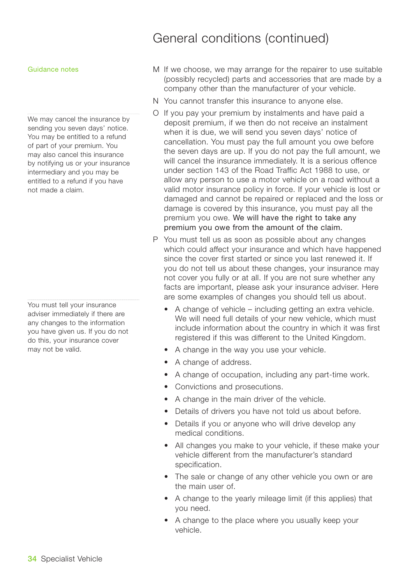#### Guidance notes

We may cancel the insurance by sending you seven days' notice. You may be entitled to a refund of part of your premium. You may also cancel this insurance by notifying us or your insurance intermediary and you may be entitled to a refund if you have not made a claim.

You must tell your insurance adviser immediately if there are any changes to the information you have given us. If you do not do this, your insurance cover may not be valid.

## General conditions (continued)

- M If we choose, we may arrange for the repairer to use suitable (possibly recycled) parts and accessories that are made by a company other than the manufacturer of your vehicle.
- N You cannot transfer this insurance to anyone else.
- O If you pay your premium by instalments and have paid a deposit premium, if we then do not receive an instalment when it is due, we will send you seven days' notice of cancellation. You must pay the full amount you owe before the seven days are up. If you do not pay the full amount, we will cancel the insurance immediately. It is a serious offence under section 143 of the Road Traffic Act 1988 to use, or allow any person to use a motor vehicle on a road without a valid motor insurance policy in force. If your vehicle is lost or damaged and cannot be repaired or replaced and the loss or damage is covered by this insurance, you must pay all the premium you owe. We will have the right to take any premium you owe from the amount of the claim.
- P You must tell us as soon as possible about any changes which could affect your insurance and which have happened since the cover first started or since you last renewed it. If you do not tell us about these changes, your insurance may not cover you fully or at all. If you are not sure whether any facts are important, please ask your insurance adviser. Here are some examples of changes you should tell us about.
	- A change of vehicle including getting an extra vehicle. We will need full details of your new vehicle, which must include information about the country in which it was first registered if this was different to the United Kingdom.
	- A change in the way you use your vehicle.
	- A change of address.
	- A change of occupation, including any part-time work.
	- Convictions and prosecutions.
	- A change in the main driver of the vehicle.
	- Details of drivers you have not told us about before.
	- Details if you or anyone who will drive develop any medical conditions.
	- All changes you make to your vehicle, if these make your vehicle different from the manufacturer's standard specification.
	- The sale or change of any other vehicle you own or are the main user of.
	- A change to the yearly mileage limit (if this applies) that you need.
	- A change to the place where you usually keep your vehicle.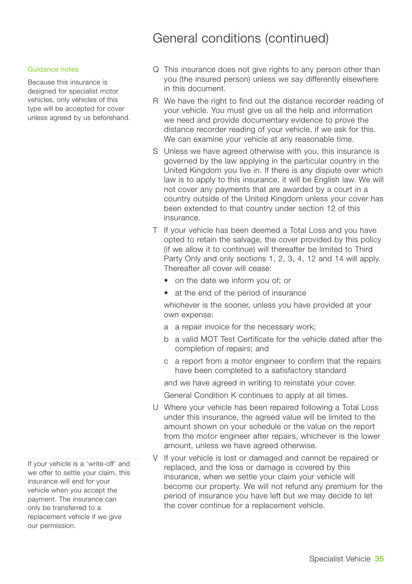## General conditions (continued)

#### Guidance notes

Because this insurance is designed for specialist motor vehicles, only vehicles of this type will be accepted for cover unless agreed by us beforehand.

If your vehicle is a 'write-off' and we offer to settle your claim, this insurance will end for your vehicle when you accept the payment. The insurance can only be transferred to a replacement vehicle if we give our permission.

- Q This insurance does not give rights to any person other than you (the insured person) unless we say differently elsewhere in this document.
- R We have the right to find out the distance recorder reading of your vehicle. You must give us all the help and information we need and provide documentary evidence to prove the distance recorder reading of your vehicle, if we ask for this. We can examine your vehicle at any reasonable time.
- S Unless we have agreed otherwise with you, this insurance is governed by the law applying in the particular country in the United Kingdom you live in. If there is any dispute over which law is to apply to this insurance, it will be English law. We will not cover any payments that are awarded by a court in a country outside of the United Kingdom unless your cover has been extended to that country under section 12 of this insurance.
- T If your vehicle has been deemed a Total Loss and you have opted to retain the salvage, the cover provided by this policy (if we allow it to continue) will thereafter be limited to Third Party Only and only sections 1, 2, 3, 4, 12 and 14 will apply. Thereafter all cover will cease:
	- on the date we inform you of; or
	- at the end of the period of insurance

whichever is the sooner, unless you have provided at your own expense:

- a a repair invoice for the necessary work;
- b a valid MOT Test Certificate for the vehicle dated after the completion of repairs; and
- c a report from a motor engineer to confirm that the repairs have been completed to a satisfactory standard

and we have agreed in writing to reinstate your cover.

General Condition K continues to apply at all times.

- U Where your vehicle has been repaired following a Total Loss under this insurance, the agreed value will be limited to the amount shown on your schedule or the value on the report from the motor engineer after repairs, whichever is the lower amount, unless we have agreed otherwise.
- V If your vehicle is lost or damaged and cannot be repaired or replaced, and the loss or damage is covered by this insurance, when we settle your claim your vehicle will become our property. We will not refund any premium for the period of insurance you have left but we may decide to let the cover continue for a replacement vehicle.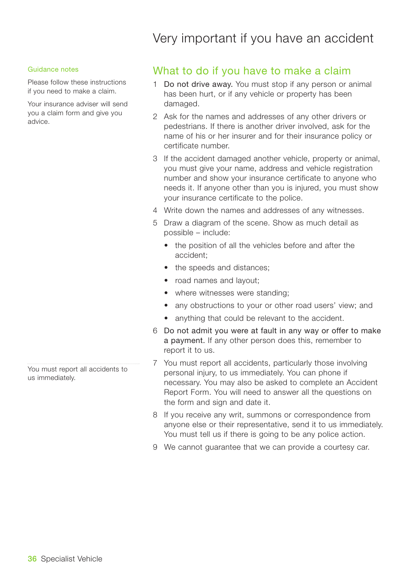## Very important if you have an accident

#### Guidance notes

Please follow these instructions if you need to make a claim.

Your insurance adviser will send you a claim form and give you advice.

You must report all accidents to us immediately.

### What to do if you have to make a claim

- 1 Do not drive away. You must stop if any person or animal has been hurt, or if any vehicle or property has been damaged.
- 2 Ask for the names and addresses of any other drivers or pedestrians. If there is another driver involved, ask for the name of his or her insurer and for their insurance policy or certificate number.
- 3 If the accident damaged another vehicle, property or animal, you must give your name, address and vehicle registration number and show your insurance certificate to anyone who needs it. If anyone other than you is injured, you must show your insurance certificate to the police.
- 4 Write down the names and addresses of any witnesses.
- 5 Draw a diagram of the scene. Show as much detail as possible – include:
	- the position of all the vehicles before and after the accident;
	- the speeds and distances;
	- road names and layout:
	- where witnesses were standing:
	- any obstructions to your or other road users' view; and
	- anything that could be relevant to the accident.
- 6 Do not admit you were at fault in any way or offer to make a payment. If any other person does this, remember to report it to us.
- 7 You must report all accidents, particularly those involving personal injury, to us immediately. You can phone if necessary. You may also be asked to complete an Accident Report Form. You will need to answer all the questions on the form and sign and date it.
- 8 If you receive any writ, summons or correspondence from anyone else or their representative, send it to us immediately. You must tell us if there is going to be any police action.
- 9 We cannot guarantee that we can provide a courtesy car.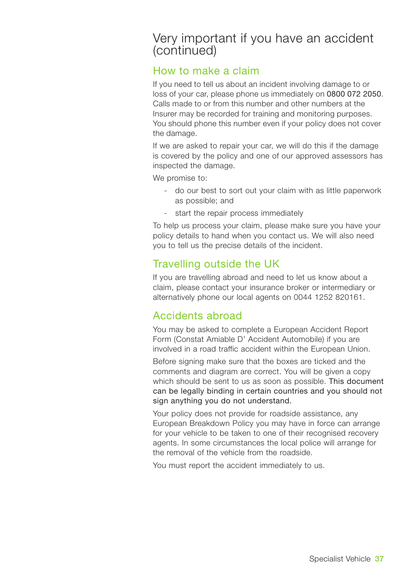## Very important if you have an accident (continued)

### How to make a claim

If you need to tell us about an incident involving damage to or loss of your car, please phone us immediately on 0800 072 2050. Calls made to or from this number and other numbers at the Insurer may be recorded for training and monitoring purposes. You should phone this number even if your policy does not cover the damage.

If we are asked to repair your car, we will do this if the damage is covered by the policy and one of our approved assessors has inspected the damage.

We promise to:

- do our best to sort out your claim with as little paperwork as possible; and
- start the repair process immediately

To help us process your claim, please make sure you have your policy details to hand when you contact us. We will also need you to tell us the precise details of the incident.

### Travelling outside the UK

If you are travelling abroad and need to let us know about a claim, please contact your insurance broker or intermediary or alternatively phone our local agents on 0044 1252 820161.

### Accidents abroad

You may be asked to complete a European Accident Report Form (Constat Amiable D' Accident Automobile) if you are involved in a road traffic accident within the European Union.

Before signing make sure that the boxes are ticked and the comments and diagram are correct. You will be given a copy which should be sent to us as soon as possible. This document can be legally binding in certain countries and you should not sign anything you do not understand.

Your policy does not provide for roadside assistance, any European Breakdown Policy you may have in force can arrange for your vehicle to be taken to one of their recognised recovery agents. In some circumstances the local police will arrange for the removal of the vehicle from the roadside.

You must report the accident immediately to us.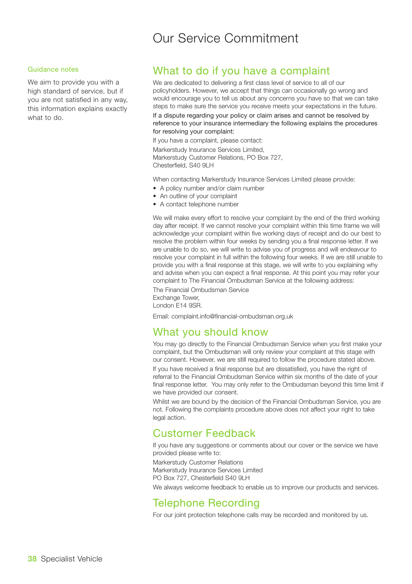## Our Service Commitment

#### Guidance notes

We aim to provide you with a high standard of service, but if you are not satisfied in any way, this information explains exactly what to do.

### What to do if you have a complaint

We are dedicated to delivering a first class level of service to all of our policyholders. However, we accept that things can occasionally go wrong and would encourage you to tell us about any concerns you have so that we can take steps to make sure the service you receive meets your expectations in the future.

If a dispute regarding your policy or claim arises and cannot be resolved by reference to your insurance intermediary the following explains the procedures for resolving your complaint:

If you have a complaint, please contact:

Markerstudy Insurance Services Limited, Markerstudy Customer Relations, PO Box 727, Chesterfield, S40 9LH

When contacting Markerstudy Insurance Services Limited please provide:

- A policy number and/or claim number
- An outline of your complaint
- A contact telephone number

We will make every effort to resolve your complaint by the end of the third working day after receipt. If we cannot resolve your complaint within this time frame we will acknowledge your complaint within five working days of receipt and do our best to resolve the problem within four weeks by sending you a final response letter. If we are unable to do so, we will write to advise you of progress and will endeavour to resolve your complaint in full within the following four weeks. If we are still unable to provide you with a final response at this stage, we will write to you explaining why and advise when you can expect a final response. At this point you may refer your complaint to The Financial Ombudsman Service at the following address:

The Financial Ombudsman Service Exchange Tower,

London E14 9SR.

Email: complaint.info@financial-ombudsman.org.uk

### What you should know

You may go directly to the Financial Ombudsman Service when you first make your complaint, but the Ombudsman will only review your complaint at this stage with our consent. However, we are still required to follow the procedure stated above.

If you have received a final response but are dissatisfied, you have the right of referral to the Financial Ombudsman Service within six months of the date of your final response letter. You may only refer to the Ombudsman beyond this time limit if we have provided our consent.

Whilst we are bound by the decision of the Financial Ombudsman Service, you are not. Following the complaints procedure above does not affect your right to take legal action.

### Customer Feedback

If you have any suggestions or comments about our cover or the service we have provided please write to:

Markerstudy Customer Relations Markerstudy Insurance Services Limited PO Box 727, Chesterfield S40 9LH

We always welcome feedback to enable us to improve our products and services.

### Telephone Recording

For our joint protection telephone calls may be recorded and monitored by us.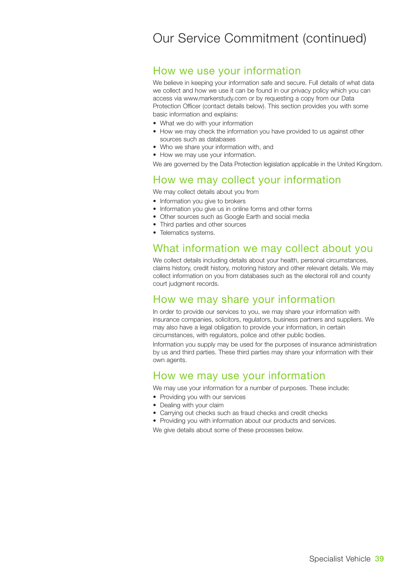## Our Service Commitment (continued)

### How we use your information

We believe in keeping your information safe and secure. Full details of what data we collect and how we use it can be found in our privacy policy which you can access via www.markerstudy.com or by requesting a copy from our Data Protection Officer (contact details below). This section provides you with some basic information and explains:

- What we do with your information
- How we may check the information you have provided to us against other sources such as databases
- Who we share your information with, and
- How we may use your information.

We are governed by the Data Protection legislation applicable in the United Kingdom.

### How we may collect your information

We may collect details about you from

- Information you give to brokers
- Information you give us in online forms and other forms
- Other sources such as Google Earth and social media
- Third parties and other sources
- Telematics systems.

### What information we may collect about you

We collect details including details about your health, personal circumstances, claims history, credit history, motoring history and other relevant details. We may collect information on you from databases such as the electoral roll and county court judgment records.

### How we may share your information

In order to provide our services to you, we may share your information with insurance companies, solicitors, regulators, business partners and suppliers. We may also have a legal obligation to provide your information, in certain circumstances, with regulators, police and other public bodies.

Information you supply may be used for the purposes of insurance administration by us and third parties. These third parties may share your information with their own agents.

### How we may use your information

We may use your information for a number of purposes. These include:

- Providing you with our services
- Dealing with your claim
- Carrying out checks such as fraud checks and credit checks
- Providing you with information about our products and services.

We give details about some of these processes below.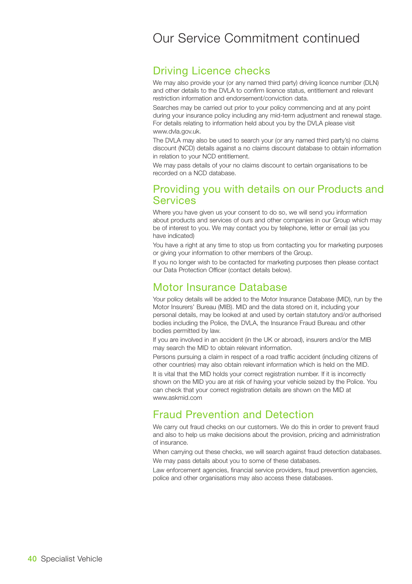## Our Service Commitment continued

### Driving Licence checks

We may also provide your (or any named third party) driving licence number (DLN) and other details to the DVLA to confirm licence status, entitlement and relevant restriction information and endorsement/conviction data.

Searches may be carried out prior to your policy commencing and at any point during your insurance policy including any mid-term adjustment and renewal stage. For details relating to information held about you by the DVLA please visit www.dvla.gov.uk.

The DVLA may also be used to search your (or any named third party's) no claims discount (NCD) details against a no claims discount database to obtain information in relation to your NCD entitlement.

We may pass details of your no claims discount to certain organisations to be recorded on a NCD database.

### Providing you with details on our Products and **Services**

Where you have given us your consent to do so, we will send you information about products and services of ours and other companies in our Group which may be of interest to you. We may contact you by telephone, letter or email (as you have indicated)

You have a right at any time to stop us from contacting you for marketing purposes or giving your information to other members of the Group.

If you no longer wish to be contacted for marketing purposes then please contact our Data Protection Officer (contact details below).

### Motor Insurance Database

Your policy details will be added to the Motor Insurance Database (MID), run by the Motor Insurers' Bureau (MIB). MID and the data stored on it, including your personal details, may be looked at and used by certain statutory and/or authorised bodies including the Police, the DVLA, the Insurance Fraud Bureau and other bodies permitted by law.

If you are involved in an accident (in the UK or abroad), insurers and/or the MIB may search the MID to obtain relevant information.

Persons pursuing a claim in respect of a road traffic accident (including citizens of other countries) may also obtain relevant information which is held on the MID.

It is vital that the MID holds your correct registration number. If it is incorrectly shown on the MID you are at risk of having your vehicle seized by the Police. You can check that your correct registration details are shown on the MID at www.askmid.com

### Fraud Prevention and Detection

We carry out fraud checks on our customers. We do this in order to prevent fraud and also to help us make decisions about the provision, pricing and administration of insurance.

When carrying out these checks, we will search against fraud detection databases. We may pass details about you to some of these databases.

Law enforcement agencies, financial service providers, fraud prevention agencies, police and other organisations may also access these databases.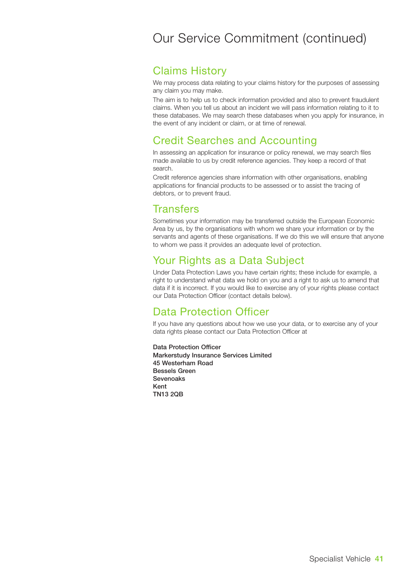## Our Service Commitment (continued)

### Claims History

We may process data relating to your claims history for the purposes of assessing any claim you may make.

The aim is to help us to check information provided and also to prevent fraudulent claims. When you tell us about an incident we will pass information relating to it to these databases. We may search these databases when you apply for insurance, in the event of any incident or claim, or at time of renewal.

### Credit Searches and Accounting

In assessing an application for insurance or policy renewal, we may search files made available to us by credit reference agencies. They keep a record of that search.

Credit reference agencies share information with other organisations, enabling applications for financial products to be assessed or to assist the tracing of debtors, or to prevent fraud.

### **Transfers**

Sometimes your information may be transferred outside the European Economic Area by us, by the organisations with whom we share your information or by the servants and agents of these organisations. If we do this we will ensure that anyone to whom we pass it provides an adequate level of protection.

### Your Rights as a Data Subject

Under Data Protection Laws you have certain rights; these include for example, a right to understand what data we hold on you and a right to ask us to amend that data if it is incorrect. If you would like to exercise any of your rights please contact our Data Protection Officer (contact details below).

### Data Protection Officer

If you have any questions about how we use your data, or to exercise any of your data rights please contact our Data Protection Officer at

**Data Protection Officer Markerstudy Insurance Services Limited 45 Westerham Road Bessels Green Sevenoaks Kent TN13 2QB**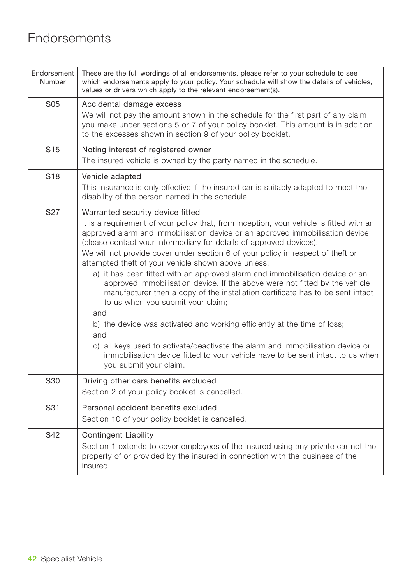## **Endorsements**

| Endorsement<br>Number | These are the full wordings of all endorsements, please refer to your schedule to see<br>which endorsements apply to your policy. Your schedule will show the details of vehicles,<br>values or drivers which apply to the relevant endorsement(s).                                                                                                                                                                                                                                                                                                                                                                                                                                                                                                                                                                                                                                                                                                                                                         |
|-----------------------|-------------------------------------------------------------------------------------------------------------------------------------------------------------------------------------------------------------------------------------------------------------------------------------------------------------------------------------------------------------------------------------------------------------------------------------------------------------------------------------------------------------------------------------------------------------------------------------------------------------------------------------------------------------------------------------------------------------------------------------------------------------------------------------------------------------------------------------------------------------------------------------------------------------------------------------------------------------------------------------------------------------|
| S <sub>05</sub>       | Accidental damage excess<br>We will not pay the amount shown in the schedule for the first part of any claim<br>you make under sections 5 or 7 of your policy booklet. This amount is in addition<br>to the excesses shown in section 9 of your policy booklet.                                                                                                                                                                                                                                                                                                                                                                                                                                                                                                                                                                                                                                                                                                                                             |
| S <sub>15</sub>       | Noting interest of registered owner<br>The insured vehicle is owned by the party named in the schedule.                                                                                                                                                                                                                                                                                                                                                                                                                                                                                                                                                                                                                                                                                                                                                                                                                                                                                                     |
| S <sub>18</sub>       | Vehicle adapted<br>This insurance is only effective if the insured car is suitably adapted to meet the<br>disability of the person named in the schedule.                                                                                                                                                                                                                                                                                                                                                                                                                                                                                                                                                                                                                                                                                                                                                                                                                                                   |
| S <sub>27</sub>       | Warranted security device fitted<br>It is a requirement of your policy that, from inception, your vehicle is fitted with an<br>approved alarm and immobilisation device or an approved immobilisation device<br>(please contact your intermediary for details of approved devices).<br>We will not provide cover under section 6 of your policy in respect of theft or<br>attempted theft of your vehicle shown above unless:<br>a) it has been fitted with an approved alarm and immobilisation device or an<br>approved immobilisation device. If the above were not fitted by the vehicle<br>manufacturer then a copy of the installation certificate has to be sent intact<br>to us when you submit your claim;<br>and<br>b) the device was activated and working efficiently at the time of loss;<br>and<br>c) all keys used to activate/deactivate the alarm and immobilisation device or<br>immobilisation device fitted to your vehicle have to be sent intact to us when<br>you submit your claim. |
| S30                   | Driving other cars benefits excluded<br>Section 2 of your policy booklet is cancelled.                                                                                                                                                                                                                                                                                                                                                                                                                                                                                                                                                                                                                                                                                                                                                                                                                                                                                                                      |
| S31                   | Personal accident benefits excluded<br>Section 10 of your policy booklet is cancelled.                                                                                                                                                                                                                                                                                                                                                                                                                                                                                                                                                                                                                                                                                                                                                                                                                                                                                                                      |
| S42                   | <b>Contingent Liability</b><br>Section 1 extends to cover employees of the insured using any private car not the<br>property of or provided by the insured in connection with the business of the<br>insured.                                                                                                                                                                                                                                                                                                                                                                                                                                                                                                                                                                                                                                                                                                                                                                                               |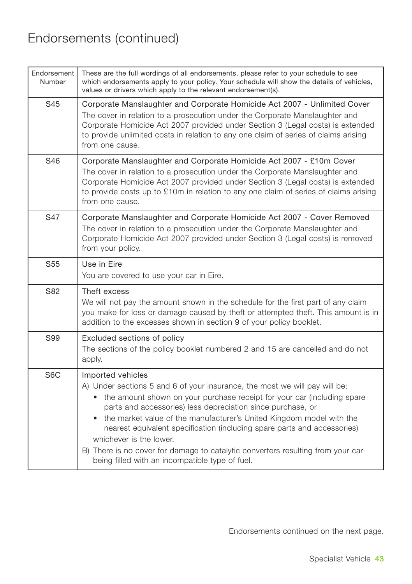| Endorsement<br>Number | These are the full wordings of all endorsements, please refer to your schedule to see<br>which endorsements apply to your policy. Your schedule will show the details of vehicles,<br>values or drivers which apply to the relevant endorsement(s).                                                                                                                                                                                                                                                                                                                |
|-----------------------|--------------------------------------------------------------------------------------------------------------------------------------------------------------------------------------------------------------------------------------------------------------------------------------------------------------------------------------------------------------------------------------------------------------------------------------------------------------------------------------------------------------------------------------------------------------------|
| S45                   | Corporate Manslaughter and Corporate Homicide Act 2007 - Unlimited Cover<br>The cover in relation to a prosecution under the Corporate Manslaughter and<br>Corporate Homicide Act 2007 provided under Section 3 (Legal costs) is extended<br>to provide unlimited costs in relation to any one claim of series of claims arising<br>from one cause.                                                                                                                                                                                                                |
| S46                   | Corporate Manslaughter and Corporate Homicide Act 2007 - £10m Cover<br>The cover in relation to a prosecution under the Corporate Manslaughter and<br>Corporate Homicide Act 2007 provided under Section 3 (Legal costs) is extended<br>to provide costs up to £10m in relation to any one claim of series of claims arising<br>from one cause.                                                                                                                                                                                                                    |
| S47                   | Corporate Manslaughter and Corporate Homicide Act 2007 - Cover Removed<br>The cover in relation to a prosecution under the Corporate Manslaughter and<br>Corporate Homicide Act 2007 provided under Section 3 (Legal costs) is removed<br>from your policy.                                                                                                                                                                                                                                                                                                        |
| S <sub>55</sub>       | Use in Eire<br>You are covered to use your car in Eire.                                                                                                                                                                                                                                                                                                                                                                                                                                                                                                            |
| S82                   | Theft excess<br>We will not pay the amount shown in the schedule for the first part of any claim<br>you make for loss or damage caused by theft or attempted theft. This amount is in<br>addition to the excesses shown in section 9 of your policy booklet.                                                                                                                                                                                                                                                                                                       |
| S99                   | Excluded sections of policy<br>The sections of the policy booklet numbered 2 and 15 are cancelled and do not<br>apply.                                                                                                                                                                                                                                                                                                                                                                                                                                             |
| S <sub>6</sub> C      | Imported vehicles<br>A) Under sections 5 and 6 of your insurance, the most we will pay will be:<br>• the amount shown on your purchase receipt for your car (including spare<br>parts and accessories) less depreciation since purchase, or<br>• the market value of the manufacturer's United Kingdom model with the<br>nearest equivalent specification (including spare parts and accessories)<br>whichever is the lower.<br>B) There is no cover for damage to catalytic converters resulting from your car<br>being filled with an incompatible type of fuel. |

Endorsements continued on the next page.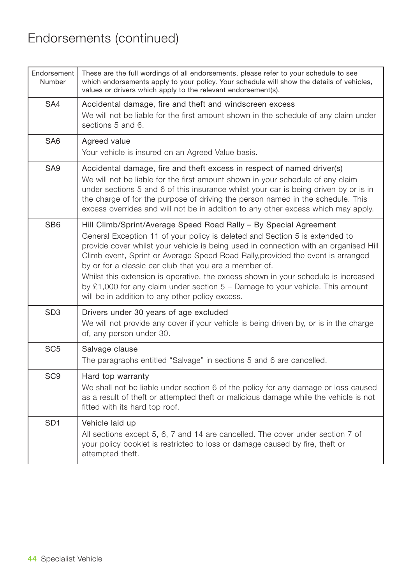| Endorsement<br>Number | These are the full wordings of all endorsements, please refer to your schedule to see<br>which endorsements apply to your policy. Your schedule will show the details of vehicles,<br>values or drivers which apply to the relevant endorsement(s).                                                                                                                                                                                                                                                                                                                                                               |
|-----------------------|-------------------------------------------------------------------------------------------------------------------------------------------------------------------------------------------------------------------------------------------------------------------------------------------------------------------------------------------------------------------------------------------------------------------------------------------------------------------------------------------------------------------------------------------------------------------------------------------------------------------|
| SA4                   | Accidental damage, fire and theft and windscreen excess<br>We will not be liable for the first amount shown in the schedule of any claim under<br>sections 5 and 6.                                                                                                                                                                                                                                                                                                                                                                                                                                               |
| SA6                   | Agreed value<br>Your vehicle is insured on an Agreed Value basis.                                                                                                                                                                                                                                                                                                                                                                                                                                                                                                                                                 |
| SA <sub>9</sub>       | Accidental damage, fire and theft excess in respect of named driver(s)<br>We will not be liable for the first amount shown in your schedule of any claim<br>under sections 5 and 6 of this insurance whilst your car is being driven by or is in<br>the charge of for the purpose of driving the person named in the schedule. This<br>excess overrides and will not be in addition to any other excess which may apply.                                                                                                                                                                                          |
| SB <sub>6</sub>       | Hill Climb/Sprint/Average Speed Road Rally - By Special Agreement<br>General Exception 11 of your policy is deleted and Section 5 is extended to<br>provide cover whilst your vehicle is being used in connection with an organised Hill<br>Climb event, Sprint or Average Speed Road Rally, provided the event is arranged<br>by or for a classic car club that you are a member of.<br>Whilst this extension is operative, the excess shown in your schedule is increased<br>by £1,000 for any claim under section $5 -$ Damage to your vehicle. This amount<br>will be in addition to any other policy excess. |
| SD <sub>3</sub>       | Drivers under 30 years of age excluded<br>We will not provide any cover if your vehicle is being driven by, or is in the charge<br>of, any person under 30.                                                                                                                                                                                                                                                                                                                                                                                                                                                       |
| SC <sub>5</sub>       | Salvage clause<br>The paragraphs entitled "Salvage" in sections 5 and 6 are cancelled.                                                                                                                                                                                                                                                                                                                                                                                                                                                                                                                            |
| SC <sub>9</sub>       | Hard top warranty<br>We shall not be liable under section 6 of the policy for any damage or loss caused<br>as a result of theft or attempted theft or malicious damage while the vehicle is not<br>fitted with its hard top roof.                                                                                                                                                                                                                                                                                                                                                                                 |
| SD <sub>1</sub>       | Vehicle laid up<br>All sections except 5, 6, 7 and 14 are cancelled. The cover under section 7 of<br>your policy booklet is restricted to loss or damage caused by fire, theft or<br>attempted theft.                                                                                                                                                                                                                                                                                                                                                                                                             |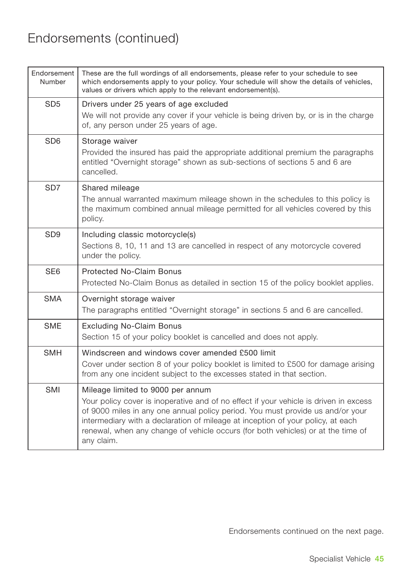| Endorsement<br>Number | These are the full wordings of all endorsements, please refer to your schedule to see<br>which endorsements apply to your policy. Your schedule will show the details of vehicles,<br>values or drivers which apply to the relevant endorsement(s).                                                                                                                                               |
|-----------------------|---------------------------------------------------------------------------------------------------------------------------------------------------------------------------------------------------------------------------------------------------------------------------------------------------------------------------------------------------------------------------------------------------|
| SD <sub>5</sub>       | Drivers under 25 years of age excluded<br>We will not provide any cover if your vehicle is being driven by, or is in the charge<br>of, any person under 25 years of age.                                                                                                                                                                                                                          |
| SD <sub>6</sub>       | Storage waiver<br>Provided the insured has paid the appropriate additional premium the paragraphs<br>entitled "Overnight storage" shown as sub-sections of sections 5 and 6 are<br>cancelled.                                                                                                                                                                                                     |
| SD <sub>7</sub>       | Shared mileage<br>The annual warranted maximum mileage shown in the schedules to this policy is<br>the maximum combined annual mileage permitted for all vehicles covered by this<br>policy.                                                                                                                                                                                                      |
| SD <sub>9</sub>       | Including classic motorcycle(s)<br>Sections 8, 10, 11 and 13 are cancelled in respect of any motorcycle covered<br>under the policy.                                                                                                                                                                                                                                                              |
| SE <sub>6</sub>       | <b>Protected No-Claim Bonus</b><br>Protected No-Claim Bonus as detailed in section 15 of the policy booklet applies.                                                                                                                                                                                                                                                                              |
| <b>SMA</b>            | Overnight storage waiver<br>The paragraphs entitled "Overnight storage" in sections 5 and 6 are cancelled.                                                                                                                                                                                                                                                                                        |
| <b>SME</b>            | <b>Excluding No-Claim Bonus</b><br>Section 15 of your policy booklet is cancelled and does not apply.                                                                                                                                                                                                                                                                                             |
| <b>SMH</b>            | Windscreen and windows cover amended £500 limit<br>Cover under section 8 of your policy booklet is limited to £500 for damage arising<br>from any one incident subject to the excesses stated in that section.                                                                                                                                                                                    |
| SMI                   | Mileage limited to 9000 per annum<br>Your policy cover is inoperative and of no effect if your vehicle is driven in excess<br>of 9000 miles in any one annual policy period. You must provide us and/or your<br>intermediary with a declaration of mileage at inception of your policy, at each<br>renewal, when any change of vehicle occurs (for both vehicles) or at the time of<br>any claim. |

Endorsements continued on the next page.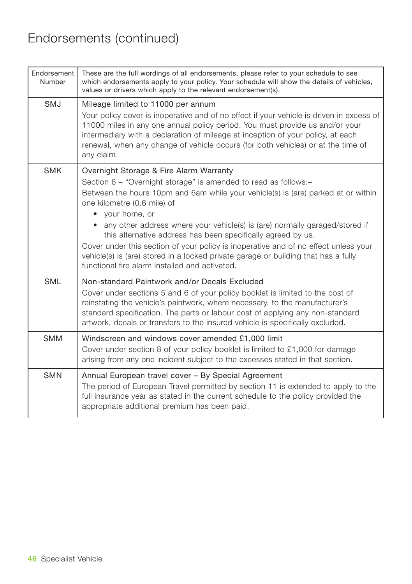| Endorsement<br>Number | These are the full wordings of all endorsements, please refer to your schedule to see<br>which endorsements apply to your policy. Your schedule will show the details of vehicles,<br>values or drivers which apply to the relevant endorsement(s).                                                                                                                                                                                                                                                                                                                                                                             |
|-----------------------|---------------------------------------------------------------------------------------------------------------------------------------------------------------------------------------------------------------------------------------------------------------------------------------------------------------------------------------------------------------------------------------------------------------------------------------------------------------------------------------------------------------------------------------------------------------------------------------------------------------------------------|
| <b>SMJ</b>            | Mileage limited to 11000 per annum<br>Your policy cover is inoperative and of no effect if your vehicle is driven in excess of<br>11000 miles in any one annual policy period. You must provide us and/or your<br>intermediary with a declaration of mileage at inception of your policy, at each<br>renewal, when any change of vehicle occurs (for both vehicles) or at the time of<br>any claim.                                                                                                                                                                                                                             |
| <b>SMK</b>            | Overnight Storage & Fire Alarm Warranty<br>Section 6 - "Overnight storage" is amended to read as follows:-<br>Between the hours 10pm and 6am while your vehicle(s) is (are) parked at or within<br>one kilometre (0.6 mile) of<br>• your home, or<br>any other address where your vehicle(s) is (are) normally garaged/stored if<br>this alternative address has been specifically agreed by us.<br>Cover under this section of your policy is inoperative and of no effect unless your<br>vehicle(s) is (are) stored in a locked private garage or building that has a fully<br>functional fire alarm installed and activated. |
| <b>SML</b>            | Non-standard Paintwork and/or Decals Excluded<br>Cover under sections 5 and 6 of your policy booklet is limited to the cost of<br>reinstating the vehicle's paintwork, where necessary, to the manufacturer's<br>standard specification. The parts or labour cost of applying any non-standard<br>artwork, decals or transfers to the insured vehicle is specifically excluded.                                                                                                                                                                                                                                                 |
| <b>SMM</b>            | Windscreen and windows cover amended £1,000 limit<br>Cover under section 8 of your policy booklet is limited to £1,000 for damage<br>arising from any one incident subject to the excesses stated in that section.                                                                                                                                                                                                                                                                                                                                                                                                              |
| <b>SMN</b>            | Annual European travel cover - By Special Agreement<br>The period of European Travel permitted by section 11 is extended to apply to the<br>full insurance year as stated in the current schedule to the policy provided the<br>appropriate additional premium has been paid.                                                                                                                                                                                                                                                                                                                                                   |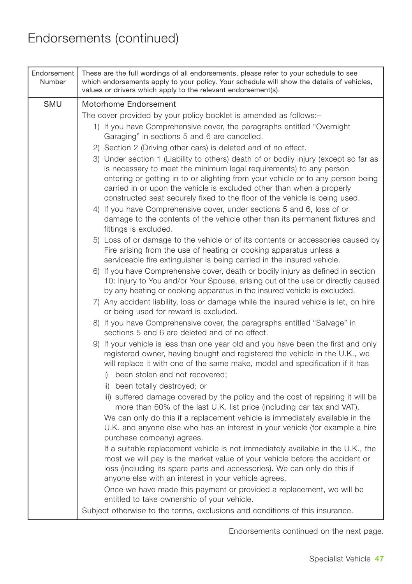| Endorsement<br>Number | These are the full wordings of all endorsements, please refer to your schedule to see<br>which endorsements apply to your policy. Your schedule will show the details of vehicles,<br>values or drivers which apply to the relevant endorsement(s).                                                                                                                                                  |
|-----------------------|------------------------------------------------------------------------------------------------------------------------------------------------------------------------------------------------------------------------------------------------------------------------------------------------------------------------------------------------------------------------------------------------------|
| <b>SMU</b>            | Motorhome Endorsement                                                                                                                                                                                                                                                                                                                                                                                |
|                       | The cover provided by your policy booklet is amended as follows:-                                                                                                                                                                                                                                                                                                                                    |
|                       | 1) If you have Comprehensive cover, the paragraphs entitled "Overnight"<br>Garaging" in sections 5 and 6 are cancelled.                                                                                                                                                                                                                                                                              |
|                       | 2) Section 2 (Driving other cars) is deleted and of no effect.                                                                                                                                                                                                                                                                                                                                       |
|                       | 3) Under section 1 (Liability to others) death of or bodily injury (except so far as<br>is necessary to meet the minimum legal requirements) to any person<br>entering or getting in to or alighting from your vehicle or to any person being<br>carried in or upon the vehicle is excluded other than when a properly<br>constructed seat securely fixed to the floor of the vehicle is being used. |
|                       | 4) If you have Comprehensive cover, under sections 5 and 6, loss of or<br>damage to the contents of the vehicle other than its permanent fixtures and<br>fittings is excluded.                                                                                                                                                                                                                       |
|                       | 5) Loss of or damage to the vehicle or of its contents or accessories caused by<br>Fire arising from the use of heating or cooking apparatus unless a<br>serviceable fire extinguisher is being carried in the insured vehicle.                                                                                                                                                                      |
|                       | 6) If you have Comprehensive cover, death or bodily injury as defined in section<br>10: Injury to You and/or Your Spouse, arising out of the use or directly caused<br>by any heating or cooking apparatus in the insured vehicle is excluded.                                                                                                                                                       |
|                       | 7) Any accident liability, loss or damage while the insured vehicle is let, on hire<br>or being used for reward is excluded.                                                                                                                                                                                                                                                                         |
|                       | 8) If you have Comprehensive cover, the paragraphs entitled "Salvage" in<br>sections 5 and 6 are deleted and of no effect.                                                                                                                                                                                                                                                                           |
|                       | 9) If your vehicle is less than one year old and you have been the first and only<br>registered owner, having bought and registered the vehicle in the U.K., we<br>will replace it with one of the same make, model and specification if it has<br>i) been stolen and not recovered;<br>ii) been totally destroyed; or                                                                               |
|                       | iii) suffered damage covered by the policy and the cost of repairing it will be<br>more than 60% of the last U.K. list price (including car tax and VAT).                                                                                                                                                                                                                                            |
|                       | We can only do this if a replacement vehicle is immediately available in the<br>U.K. and anyone else who has an interest in your vehicle (for example a hire<br>purchase company) agrees.                                                                                                                                                                                                            |
|                       | If a suitable replacement vehicle is not immediately available in the U.K., the<br>most we will pay is the market value of your vehicle before the accident or<br>loss (including its spare parts and accessories). We can only do this if<br>anyone else with an interest in your vehicle agrees.                                                                                                   |
|                       | Once we have made this payment or provided a replacement, we will be<br>entitled to take ownership of your vehicle.                                                                                                                                                                                                                                                                                  |
|                       | Subject otherwise to the terms, exclusions and conditions of this insurance.                                                                                                                                                                                                                                                                                                                         |

Endorsements continued on the next page.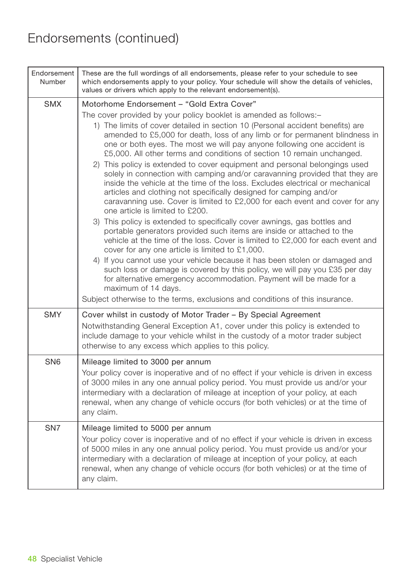| Endorsement<br>Number | These are the full wordings of all endorsements, please refer to your schedule to see<br>which endorsements apply to your policy. Your schedule will show the details of vehicles,<br>values or drivers which apply to the relevant endorsement(s).                                                                                                                                                                                                                                                                                                                                                                                                                                                                                                                                                                                                                                                                                                                                                                                                                                                                                                                                                                                                                                                                                                                                                                                                                                                                |
|-----------------------|--------------------------------------------------------------------------------------------------------------------------------------------------------------------------------------------------------------------------------------------------------------------------------------------------------------------------------------------------------------------------------------------------------------------------------------------------------------------------------------------------------------------------------------------------------------------------------------------------------------------------------------------------------------------------------------------------------------------------------------------------------------------------------------------------------------------------------------------------------------------------------------------------------------------------------------------------------------------------------------------------------------------------------------------------------------------------------------------------------------------------------------------------------------------------------------------------------------------------------------------------------------------------------------------------------------------------------------------------------------------------------------------------------------------------------------------------------------------------------------------------------------------|
| <b>SMX</b>            | Motorhome Endorsement - "Gold Extra Cover"<br>The cover provided by your policy booklet is amended as follows:-<br>1) The limits of cover detailed in section 10 (Personal accident benefits) are<br>amended to £5,000 for death, loss of any limb or for permanent blindness in<br>one or both eyes. The most we will pay anyone following one accident is<br>£5,000. All other terms and conditions of section 10 remain unchanged.<br>2) This policy is extended to cover equipment and personal belongings used<br>solely in connection with camping and/or caravanning provided that they are<br>inside the vehicle at the time of the loss. Excludes electrical or mechanical<br>articles and clothing not specifically designed for camping and/or<br>caravanning use. Cover is limited to £2,000 for each event and cover for any<br>one article is limited to £200.<br>3) This policy is extended to specifically cover awnings, gas bottles and<br>portable generators provided such items are inside or attached to the<br>vehicle at the time of the loss. Cover is limited to £2,000 for each event and<br>cover for any one article is limited to £1,000.<br>4) If you cannot use your vehicle because it has been stolen or damaged and<br>such loss or damage is covered by this policy, we will pay you £35 per day<br>for alternative emergency accommodation. Payment will be made for a<br>maximum of 14 days.<br>Subject otherwise to the terms, exclusions and conditions of this insurance. |
| <b>SMY</b>            | Cover whilst in custody of Motor Trader - By Special Agreement<br>Notwithstanding General Exception A1, cover under this policy is extended to<br>include damage to your vehicle whilst in the custody of a motor trader subject<br>otherwise to any excess which applies to this policy.                                                                                                                                                                                                                                                                                                                                                                                                                                                                                                                                                                                                                                                                                                                                                                                                                                                                                                                                                                                                                                                                                                                                                                                                                          |
| SN <sub>6</sub>       | Mileage limited to 3000 per annum<br>Your policy cover is inoperative and of no effect if your vehicle is driven in excess<br>of 3000 miles in any one annual policy period. You must provide us and/or your<br>intermediary with a declaration of mileage at inception of your policy, at each<br>renewal, when any change of vehicle occurs (for both vehicles) or at the time of<br>any claim.                                                                                                                                                                                                                                                                                                                                                                                                                                                                                                                                                                                                                                                                                                                                                                                                                                                                                                                                                                                                                                                                                                                  |
| SN <sub>7</sub>       | Mileage limited to 5000 per annum<br>Your policy cover is inoperative and of no effect if your vehicle is driven in excess<br>of 5000 miles in any one annual policy period. You must provide us and/or your<br>intermediary with a declaration of mileage at inception of your policy, at each<br>renewal, when any change of vehicle occurs (for both vehicles) or at the time of<br>any claim.                                                                                                                                                                                                                                                                                                                                                                                                                                                                                                                                                                                                                                                                                                                                                                                                                                                                                                                                                                                                                                                                                                                  |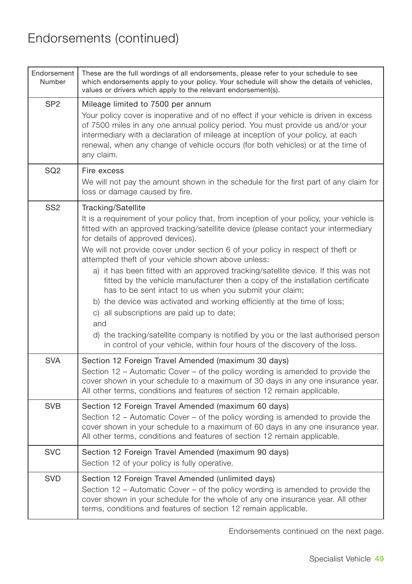| Endorsement<br>Number | These are the full wordings of all endorsements, please refer to your schedule to see<br>which endorsements apply to your policy. Your schedule will show the details of vehicles,<br>values or drivers which apply to the relevant endorsement(s).                                                                                                                                                                                                                                                                                                                                                                                                                                                                                                                                                                                                                                                                        |
|-----------------------|----------------------------------------------------------------------------------------------------------------------------------------------------------------------------------------------------------------------------------------------------------------------------------------------------------------------------------------------------------------------------------------------------------------------------------------------------------------------------------------------------------------------------------------------------------------------------------------------------------------------------------------------------------------------------------------------------------------------------------------------------------------------------------------------------------------------------------------------------------------------------------------------------------------------------|
| SP <sub>2</sub>       | Mileage limited to 7500 per annum<br>Your policy cover is inoperative and of no effect if your vehicle is driven in excess<br>of 7500 miles in any one annual policy period. You must provide us and/or your<br>intermediary with a declaration of mileage at inception of your policy, at each<br>renewal, when any change of vehicle occurs (for both vehicles) or at the time of<br>any claim.                                                                                                                                                                                                                                                                                                                                                                                                                                                                                                                          |
| SQ <sub>2</sub>       | Fire excess<br>We will not pay the amount shown in the schedule for the first part of any claim for<br>loss or damage caused by fire.                                                                                                                                                                                                                                                                                                                                                                                                                                                                                                                                                                                                                                                                                                                                                                                      |
| SS <sub>2</sub>       | Tracking/Satellite<br>It is a requirement of your policy that, from inception of your policy, your vehicle is<br>fitted with an approved tracking/satellite device (please contact your intermediary<br>for details of approved devices).<br>We will not provide cover under section 6 of your policy in respect of theft or<br>attempted theft of your vehicle shown above unless:<br>a) it has been fitted with an approved tracking/satellite device. If this was not<br>fitted by the vehicle manufacturer then a copy of the installation certificate<br>has to be sent intact to us when you submit your claim;<br>b) the device was activated and working efficiently at the time of loss;<br>c) all subscriptions are paid up to date;<br>and<br>d) the tracking/satellite company is notified by you or the last authorised person<br>in control of your vehicle, within four hours of the discovery of the loss. |
| <b>SVA</b>            | Section 12 Foreign Travel Amended (maximum 30 days)<br>Section 12 – Automatic Cover – of the policy wording is amended to provide the<br>cover shown in your schedule to a maximum of 30 days in any one insurance year.<br>All other terms, conditions and features of section 12 remain applicable.                                                                                                                                                                                                                                                                                                                                                                                                                                                                                                                                                                                                                      |
| <b>SVB</b>            | Section 12 Foreign Travel Amended (maximum 60 days)<br>Section 12 - Automatic Cover - of the policy wording is amended to provide the<br>cover shown in your schedule to a maximum of 60 days in any one insurance year.<br>All other terms, conditions and features of section 12 remain applicable.                                                                                                                                                                                                                                                                                                                                                                                                                                                                                                                                                                                                                      |
| <b>SVC</b>            | Section 12 Foreign Travel Amended (maximum 90 days)<br>Section 12 of your policy is fully operative.                                                                                                                                                                                                                                                                                                                                                                                                                                                                                                                                                                                                                                                                                                                                                                                                                       |
| <b>SVD</b>            | Section 12 Foreign Travel Amended (unlimited days)<br>Section 12 - Automatic Cover - of the policy wording is amended to provide the<br>cover shown in your schedule for the whole of any one insurance year. All other<br>terms, conditions and features of section 12 remain applicable.                                                                                                                                                                                                                                                                                                                                                                                                                                                                                                                                                                                                                                 |

Endorsements continued on the next page.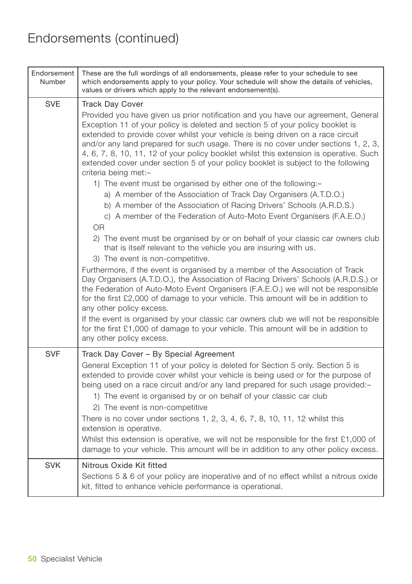| Endorsement<br>Number | These are the full wordings of all endorsements, please refer to your schedule to see<br>which endorsements apply to your policy. Your schedule will show the details of vehicles,<br>values or drivers which apply to the relevant endorsement(s).                                                                                                                                                                                                                                                                                                                                                                                                                                                                                                                                                                                                                                                                                                                                                                                                                                                                                                                                                                                                                                                                                                                                                                                                                                                                                                                                                                                                                       |
|-----------------------|---------------------------------------------------------------------------------------------------------------------------------------------------------------------------------------------------------------------------------------------------------------------------------------------------------------------------------------------------------------------------------------------------------------------------------------------------------------------------------------------------------------------------------------------------------------------------------------------------------------------------------------------------------------------------------------------------------------------------------------------------------------------------------------------------------------------------------------------------------------------------------------------------------------------------------------------------------------------------------------------------------------------------------------------------------------------------------------------------------------------------------------------------------------------------------------------------------------------------------------------------------------------------------------------------------------------------------------------------------------------------------------------------------------------------------------------------------------------------------------------------------------------------------------------------------------------------------------------------------------------------------------------------------------------------|
| <b>SVE</b>            | <b>Track Day Cover</b><br>Provided you have given us prior notification and you have our agreement, General<br>Exception 11 of your policy is deleted and section 5 of your policy booklet is<br>extended to provide cover whilst your vehicle is being driven on a race circuit<br>and/or any land prepared for such usage. There is no cover under sections 1, 2, 3,<br>4, 6, 7, 8, 10, 11, 12 of your policy booklet whilst this extension is operative. Such<br>extended cover under section 5 of your policy booklet is subject to the following<br>criteria being met:-<br>1) The event must be organised by either one of the following:-<br>a) A member of the Association of Track Day Organisers (A.T.D.O.)<br>b) A member of the Association of Racing Drivers' Schools (A.R.D.S.)<br>c) A member of the Federation of Auto-Moto Event Organisers (F.A.E.O.)<br><b>OR</b><br>2) The event must be organised by or on behalf of your classic car owners club<br>that is itself relevant to the vehicle you are insuring with us.<br>3) The event is non-competitive.<br>Furthermore, if the event is organised by a member of the Association of Track<br>Day Organisers (A.T.D.O.), the Association of Racing Drivers' Schools (A.R.D.S.) or<br>the Federation of Auto-Moto Event Organisers (F.A.E.O.) we will not be responsible<br>for the first £2,000 of damage to your vehicle. This amount will be in addition to<br>any other policy excess.<br>If the event is organised by your classic car owners club we will not be responsible<br>for the first £1,000 of damage to your vehicle. This amount will be in addition to<br>any other policy excess. |
| <b>SVF</b>            | Track Day Cover - By Special Agreement<br>General Exception 11 of your policy is deleted for Section 5 only. Section 5 is<br>extended to provide cover whilst your vehicle is being used or for the purpose of<br>being used on a race circuit and/or any land prepared for such usage provided:-<br>1) The event is organised by or on behalf of your classic car club<br>2) The event is non-competitive<br>There is no cover under sections 1, 2, 3, 4, 6, 7, 8, 10, 11, 12 whilst this<br>extension is operative.<br>Whilst this extension is operative, we will not be responsible for the first £1,000 of<br>damage to your vehicle. This amount will be in addition to any other policy excess.                                                                                                                                                                                                                                                                                                                                                                                                                                                                                                                                                                                                                                                                                                                                                                                                                                                                                                                                                                    |
| <b>SVK</b>            | Nitrous Oxide Kit fitted<br>Sections 5 & 6 of your policy are inoperative and of no effect whilst a nitrous oxide<br>kit, fitted to enhance vehicle performance is operational.                                                                                                                                                                                                                                                                                                                                                                                                                                                                                                                                                                                                                                                                                                                                                                                                                                                                                                                                                                                                                                                                                                                                                                                                                                                                                                                                                                                                                                                                                           |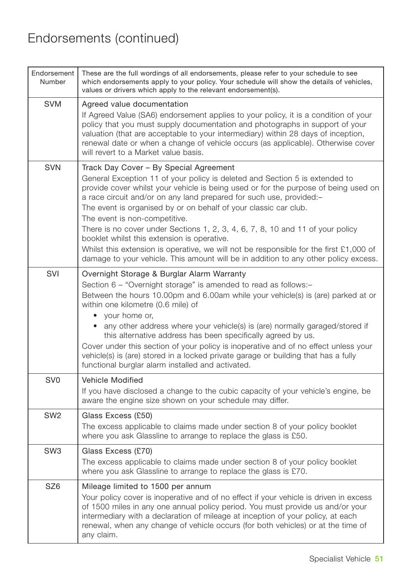| Endorsement<br>Number | These are the full wordings of all endorsements, please refer to your schedule to see<br>which endorsements apply to your policy. Your schedule will show the details of vehicles,<br>values or drivers which apply to the relevant endorsement(s).                                                                                                                                                                                                                                                                                                                                                                                                                                                          |
|-----------------------|--------------------------------------------------------------------------------------------------------------------------------------------------------------------------------------------------------------------------------------------------------------------------------------------------------------------------------------------------------------------------------------------------------------------------------------------------------------------------------------------------------------------------------------------------------------------------------------------------------------------------------------------------------------------------------------------------------------|
| <b>SVM</b>            | Agreed value documentation<br>If Agreed Value (SA6) endorsement applies to your policy, it is a condition of your<br>policy that you must supply documentation and photographs in support of your<br>valuation (that are acceptable to your intermediary) within 28 days of inception,<br>renewal date or when a change of vehicle occurs (as applicable). Otherwise cover<br>will revert to a Market value basis.                                                                                                                                                                                                                                                                                           |
| <b>SVN</b>            | Track Day Cover - By Special Agreement<br>General Exception 11 of your policy is deleted and Section 5 is extended to<br>provide cover whilst your vehicle is being used or for the purpose of being used on<br>a race circuit and/or on any land prepared for such use, provided:-<br>The event is organised by or on behalf of your classic car club.<br>The event is non-competitive.<br>There is no cover under Sections 1, 2, 3, 4, 6, 7, 8, 10 and 11 of your policy<br>booklet whilst this extension is operative.<br>Whilst this extension is operative, we will not be responsible for the first $£1,000$ of<br>damage to your vehicle. This amount will be in addition to any other policy excess. |
| SVI                   | Overnight Storage & Burglar Alarm Warranty<br>Section 6 – "Overnight storage" is amended to read as follows:-<br>Between the hours 10.00pm and 6.00am while your vehicle(s) is (are) parked at or<br>within one kilometre (0.6 mile) of<br>• your home or,<br>• any other address where your vehicle(s) is (are) normally garaged/stored if<br>this alternative address has been specifically agreed by us.<br>Cover under this section of your policy is inoperative and of no effect unless your<br>vehicle(s) is (are) stored in a locked private garage or building that has a fully<br>functional burglar alarm installed and activated.                                                                |
| SV <sub>0</sub>       | <b>Vehicle Modified</b><br>If you have disclosed a change to the cubic capacity of your vehicle's engine, be<br>aware the engine size shown on your schedule may differ.                                                                                                                                                                                                                                                                                                                                                                                                                                                                                                                                     |
| SW <sub>2</sub>       | Glass Excess (£50)<br>The excess applicable to claims made under section 8 of your policy booklet<br>where you ask Glassline to arrange to replace the glass is £50.                                                                                                                                                                                                                                                                                                                                                                                                                                                                                                                                         |
| SW <sub>3</sub>       | Glass Excess (£70)<br>The excess applicable to claims made under section 8 of your policy booklet<br>where you ask Glassline to arrange to replace the glass is £70.                                                                                                                                                                                                                                                                                                                                                                                                                                                                                                                                         |
| SZ <sub>6</sub>       | Mileage limited to 1500 per annum<br>Your policy cover is inoperative and of no effect if your vehicle is driven in excess<br>of 1500 miles in any one annual policy period. You must provide us and/or your<br>intermediary with a declaration of mileage at inception of your policy, at each<br>renewal, when any change of vehicle occurs (for both vehicles) or at the time of<br>any claim.                                                                                                                                                                                                                                                                                                            |